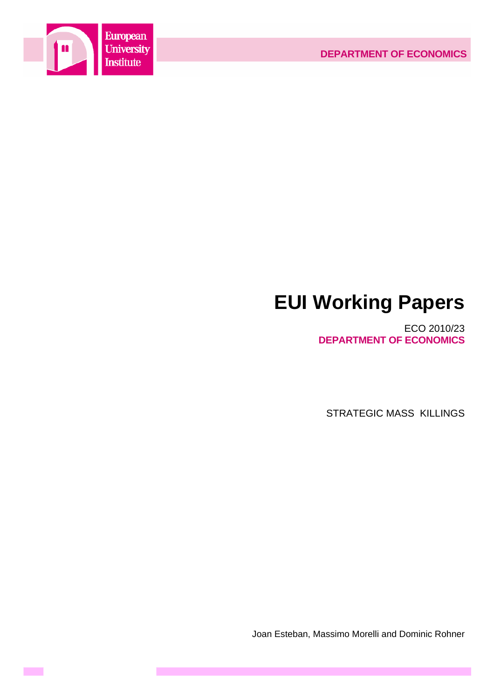

**Contract** 

# **EUI Working Papers**

ECO 2010/23 **DEPARTMENT OF ECONOMICS**

STRATEGIC MASS KILLINGS

Joan Esteban, Massimo Morelli and Dominic Rohner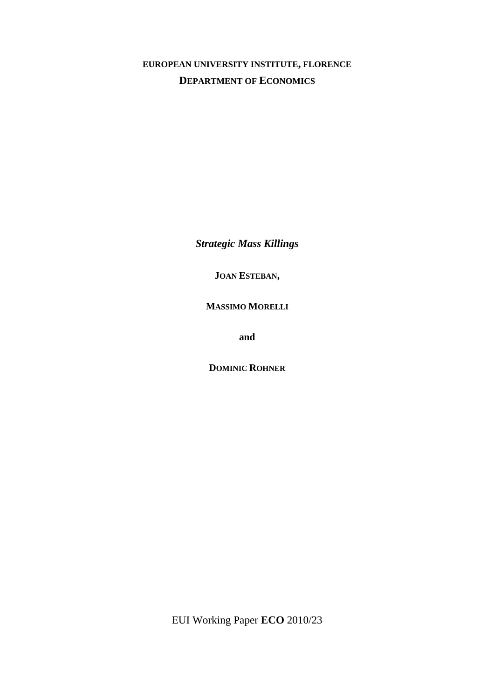# **EUROPEAN UNIVERSITY INSTITUTE, FLORENCE DEPARTMENT OF ECONOMICS**

*Strategic Mass Killings* 

**JOAN ESTEBAN,** 

**MASSIMO MORELLI**

**and** 

**DOMINIC ROHNER**

EUI Working Paper **ECO** 2010/23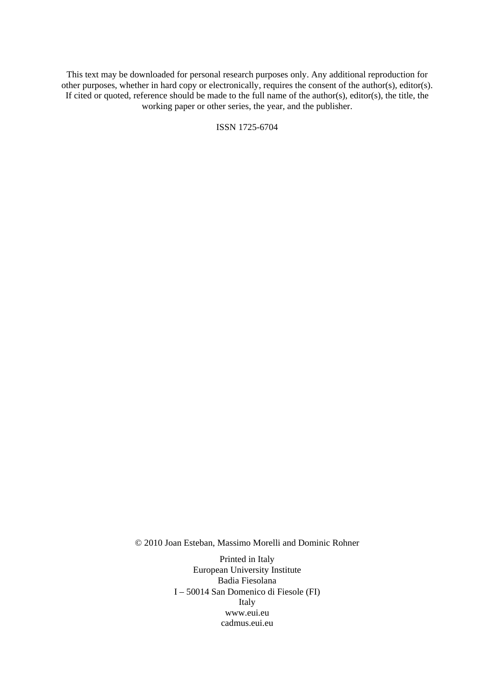This text may be downloaded for personal research purposes only. Any additional reproduction for other purposes, whether in hard copy or electronically, requires the consent of the author(s), editor(s). If cited or quoted, reference should be made to the full name of the author(s), editor(s), the title, the working paper or other series, the year, and the publisher.

ISSN 1725-6704

© 2010 Joan Esteban, Massimo Morelli and Dominic Rohner

Printed in Italy European University Institute Badia Fiesolana I – 50014 San Domenico di Fiesole (FI) Italy [www.eui.eu](http://www.eui.eu/)  [cadmus.eui.eu](http://www.eui.eu/)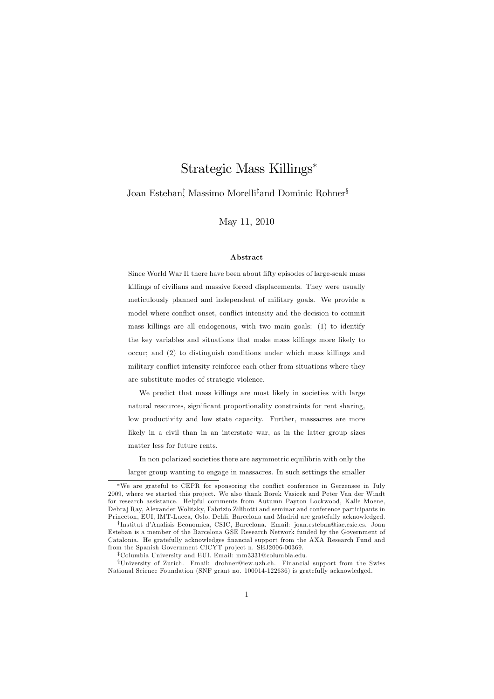# Strategic Mass Killings\*

Joan Esteban<sup>†</sup>, Massimo Morelli<sup>‡</sup>and Dominic Rohner<sup>§</sup>

May 11, 2010

### Abstract

Since World War II there have been about fifty episodes of large-scale mass killings of civilians and massive forced displacements. They were usually meticulously planned and independent of military goals. We provide a model where conflict onset, conflict intensity and the decision to commit mass killings are all endogenous, with two main goals: (1) to identify the key variables and situations that make mass killings more likely to occur; and (2) to distinguish conditions under which mass killings and military conflict intensity reinforce each other from situations where they are substitute modes of strategic violence.

We predict that mass killings are most likely in societies with large natural resources, significant proportionality constraints for rent sharing, low productivity and low state capacity. Further, massacres are more likely in a civil than in an interstate war, as in the latter group sizes matter less for future rents.

In non polarized societies there are asymmetric equilibria with only the larger group wanting to engage in massacres. In such settings the smaller

<sup>\*</sup>We are grateful to CEPR for sponsoring the conflict conference in Gerzensee in July 2009, where we started this project. We also thank Borek Vasicek and Peter Van der Windt for research assistance. Helpful comments from Autumn Payton Lockwood, Kalle Moene, Debraj Ray, Alexander Wolitzky, Fabrizio Zilibotti and seminar and conference participants in Princeton, EUI, IMT-Lucca, Oslo, Dehli, Barcelona and Madrid are gratefully acknowledged.

<sup>&</sup>lt;sup>†</sup>Institut d'Analisis Economica, CSIC, Barcelona. Email: joan.esteban@iae.csic.es. Joan Esteban is a member of the Barcelona GSE Research Network funded by the Government of Catalonia. He gratefully acknowledges financial support from the AXA Research Fund and from the Spanish Government CICYT project n. SEJ2006-00369.

<sup>&</sup>lt;sup>‡</sup>Columbia University and EUI. Email: mm3331@columbia.edu.

<sup>&</sup>lt;sup>§</sup>University of Zurich. Email: drohner@iew.uzh.ch. Financial support from the Swiss National Science Foundation (SNF grant no. 100014-122636) is gratefully acknowledged.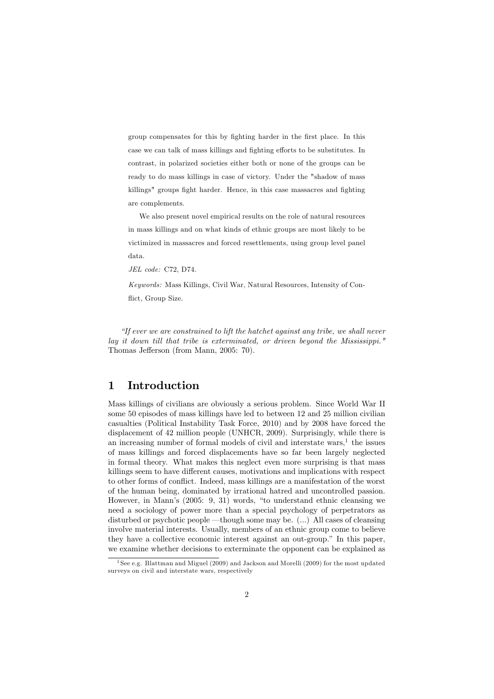group compensates for this by fighting harder in the first place. In this case we can talk of mass killings and fighting efforts to be substitutes. In contrast, in polarized societies either both or none of the groups can be ready to do mass killings in case of victory. Under the "shadow of mass killings" groups fight harder. Hence, in this case massacres and fighting are complements.

We also present novel empirical results on the role of natural resources in mass killings and on what kinds of ethnic groups are most likely to be victimized in massacres and forced resettlements, using group level panel data.

JEL code: C72, D74.

Keywords: Mass Killings, Civil War, Natural Resources, Intensity of Conflict, Group Size.

"If ever we are constrained to lift the hatchet against any tribe, we shall never lay it down till that tribe is exterminated, or driven beyond the Mississippi." Thomas Jefferson (from Mann, 2005: 70).

#### $\mathbf{1}$ Introduction

Mass killings of civilians are obviously a serious problem. Since World War II some 50 episodes of mass killings have led to between 12 and 25 million civilian casualties (Political Instability Task Force, 2010) and by 2008 have forced the displacement of 42 million people (UNHCR, 2009). Surprisingly, while there is an increasing number of formal models of civil and interstate wars.<sup>1</sup> the issues of mass killings and forced displacements have so far been largely neglected in formal theory. What makes this neglect even more surprising is that mass killings seem to have different causes, motivations and implications with respect to other forms of conflict. Indeed, mass killings are a manifestation of the worst of the human being, dominated by irrational hatred and uncontrolled passion. However, in Mann's (2005: 9, 31) words, "to understand ethnic cleansing we need a sociology of power more than a special psychology of perpetrators as disturbed or psychotic people —though some may be. (...) All cases of cleaning involve material interests. Usually, members of an ethnic group come to believe they have a collective economic interest against an out-group." In this paper, we examine whether decisions to exterminate the opponent can be explained as

<sup>&</sup>lt;sup>1</sup>See e.g. Blattman and Miguel (2009) and Jackson and Morelli (2009) for the most updated surveys on civil and interstate wars, respectively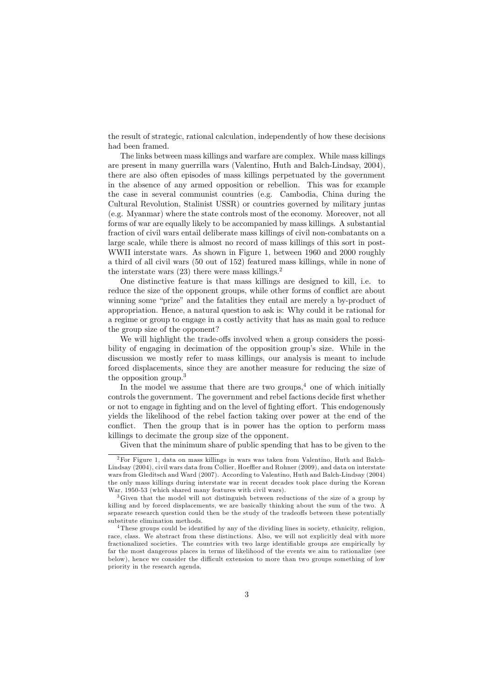the result of strategic, rational calculation, independently of how these decisions had been framed.

The links between mass killings and warfare are complex. While mass killings are present in many guerrilla wars (Valentino, Huth and Balch-Lindsay, 2004), there are also often episodes of mass killings perpetuated by the government in the absence of any armed opposition or rebellion. This was for example the case in several communist countries (e.g. Cambodia, China during the Cultural Revolution, Stalinist USSR) or countries governed by military juntas (e.g. Myanmar) where the state controls most of the economy. Moreover, not all forms of war are equally likely to be accompanied by mass killings. A substantial fraction of civil wars entail deliberate mass killings of civil non-combatants on a large scale, while there is almost no record of mass killings of this sort in post-WWII interstate wars. As shown in Figure 1, between 1960 and 2000 roughly a third of all civil wars (50 out of 152) featured mass killings, while in none of the interstate wars  $(23)$  there were mass killings.<sup>2</sup>

One distinctive feature is that mass killings are designed to kill, i.e. to reduce the size of the opponent groups, while other forms of conflict are about winning some "prize" and the fatalities they entail are merely a by-product of appropriation. Hence, a natural question to ask is: Why could it be rational for a regime or group to engage in a costly activity that has as main goal to reduce the group size of the opponent?

We will highlight the trade-offs involved when a group considers the possibility of engaging in decimation of the opposition group's size. While in the discussion we mostly refer to mass killings, our analysis is meant to include forced displacements, since they are another measure for reducing the size of the opposition group.<sup>3</sup>

In the model we assume that there are two groups.<sup>4</sup> one of which initially controls the government. The government and rebel factions decide first whether or not to engage in fighting and on the level of fighting effort. This endogenously yields the likelihood of the rebel faction taking over power at the end of the conflict. Then the group that is in power has the option to perform mass killings to decimate the group size of the opponent.

Given that the minimum share of public spending that has to be given to the

 ${}^{2}$  For Figure 1, data on mass killings in wars was taken from Valentino, Huth and Balch-Lindsay (2004), civil wars data from Collier, Hoeffler and Rohner (2009), and data on interstate wars from Gleditsch and Ward (2007). According to Valentino, Huth and Balch-Lindsay (2004) the only mass killings during interstate war in recent decades took place during the Korean War, 1950-53 (which shared many features with civil wars).

 ${}^{3}$ Given that the model will not distinguish between reductions of the size of a group by killing and by forced displacements, we are basically thinking about the sum of the two. A separate research question could then be the study of the tradeoffs between these potentially substitute elimination methods.

<sup>&</sup>lt;sup>4</sup>These groups could be identified by any of the dividing lines in society, ethnicity, religion, race, class. We abstract from these distinctions. Also, we will not explicitly deal with more fractionalized societies. The countries with two large identifiable groups are empirically by far the most dangerous places in terms of likelihood of the events we aim to rationalize (see below), hence we consider the difficult extension to more than two groups something of low priority in the research agenda.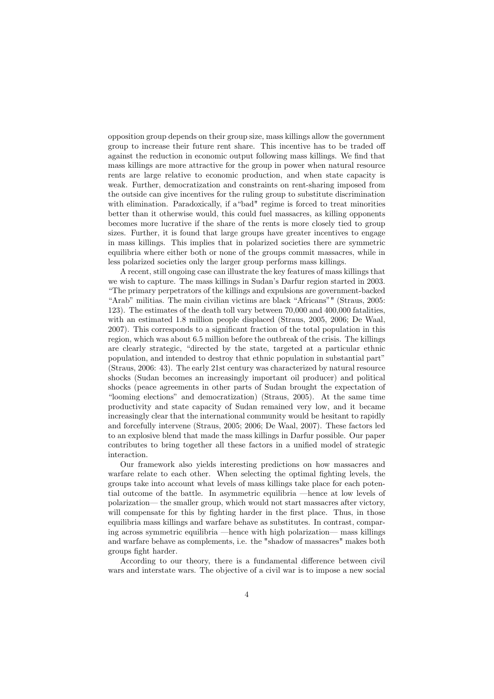opposition group depends on their group size, mass killings allow the government group to increase their future rent share. This incentive has to be traded off against the reduction in economic output following mass killings. We find that mass killings are more attractive for the group in power when natural resource rents are large relative to economic production, and when state capacity is weak. Further, democratization and constraints on rent-sharing imposed from the outside can give incentives for the ruling group to substitute discrimination with elimination. Paradoxically, if a "bad" regime is forced to treat minorities better than it otherwise would, this could fuel massacres, as killing opponents becomes more lucrative if the share of the rents is more closely tied to group sizes. Further, it is found that large groups have greater incentives to engage in mass killings. This implies that in polarized societies there are symmetric equilibria where either both or none of the groups commit massacres, while in less polarized societies only the larger group performs mass killings.

A recent, still ongoing case can illustrate the key features of mass killings that we wish to capture. The mass killings in Sudan's Darfur region started in 2003. "The primary perpetrators of the killings and expulsions are government-backed "Arab" militias. The main civilian victims are black "Africans"" (Straus, 2005: 123). The estimates of the death toll vary between 70,000 and 400,000 fatalities, with an estimated 1.8 million people displaced (Straus, 2005, 2006; De Waal, 2007). This corresponds to a significant fraction of the total population in this region, which was about 6.5 million before the outbreak of the crisis. The killings are clearly strategic, "directed by the state, targeted at a particular ethnic population, and intended to destroy that ethnic population in substantial part" (Straus, 2006: 43). The early 21st century was characterized by natural resource shocks (Sudan becomes an increasingly important oil producer) and political shocks (peace agreements in other parts of Sudan brought the expectation of "looming elections" and democratization) (Straus, 2005). At the same time productivity and state capacity of Sudan remained very low, and it became increasingly clear that the international community would be hesitant to rapidly and forcefully intervene (Straus, 2005; 2006; De Waal, 2007). These factors led to an explosive blend that made the mass killings in Darfur possible. Our paper contributes to bring together all these factors in a unified model of strategic interaction.

Our framework also yields interesting predictions on how massacres and warfare relate to each other. When selecting the optimal fighting levels, the groups take into account what levels of mass killings take place for each potential outcome of the battle. In asymmetric equilibria —hence at low levels of polarization— the smaller group, which would not start massacres after victory, will compensate for this by fighting harder in the first place. Thus, in those equilibria mass killings and warfare behave as substitutes. In contrast, comparing across symmetric equilibria —hence with high polarization— mass killings and warfare behave as complements, i.e. the "shadow of massacres" makes both groups fight harder.

According to our theory, there is a fundamental difference between civil wars and interstate wars. The objective of a civil war is to impose a new social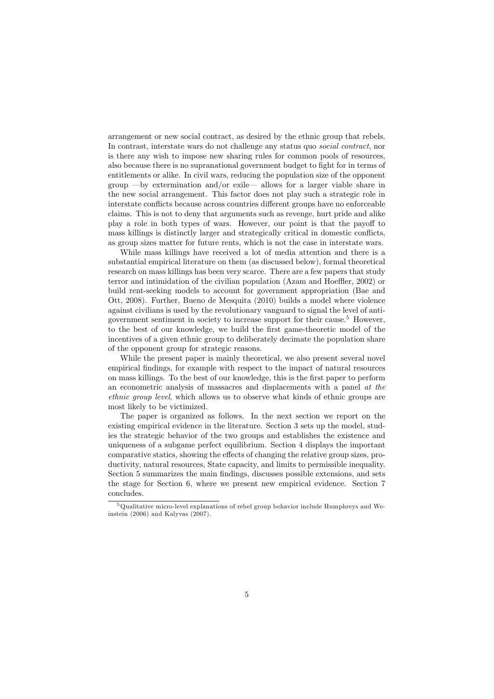arrangement or new social contract, as desired by the ethnic group that rebels. In contrast, interstate wars do not challenge any status quo *social contract*, nor is there any wish to impose new sharing rules for common pools of resources, also because there is no supranational government budget to fight for in terms of entitlements or alike. In civil wars, reducing the population size of the opponent group  $-\text{by$  extremination and/or exile— allows for a larger viable share inthe new social arrangement. This factor does not play such a strategic role in interstate conflicts because across countries different groups have no enforceable claims. This is not to deny that arguments such as revenge, hurt pride and alike play a role in both types of wars. However, our point is that the payoff to mass killings is distinctly larger and strategically critical in domestic conflicts. as group sizes matter for future rents, which is not the case in interstate wars.

While mass killings have received a lot of media attention and there is a substantial empirical literature on them (as discussed below), formal theoretical research on mass killings has been very scarce. There are a few papers that study terror and intimidation of the civilian population (Azam and Hoeffler, 2002) or build rent-seeking models to account for government appropriation (Bae and Ott, 2008). Further, Bueno de Mesquita (2010) builds a model where violence against civilians is used by the revolutionary vanguard to signal the level of antigovernment sentiment in society to increase support for their cause.<sup>5</sup> However, to the best of our knowledge, we build the first game-theoretic model of the incentives of a given ethnic group to deliberately decimate the population share of the opponent group for strategic reasons.

While the present paper is mainly theoretical, we also present several novel empirical findings, for example with respect to the impact of natural resources on mass killings. To the best of our knowledge, this is the first paper to perform an econometric analysis of massacres and displacements with a panel at the *ethnic group level*, which allows us to observe what kinds of ethnic groups are most likely to be victimized.

The paper is organized as follows. In the next section we report on the existing empirical evidence in the literature. Section 3 sets up the model, studies the strategic behavior of the two groups and establishes the existence and uniqueness of a subgame perfect equilibrium. Section 4 displays the important comparative statics, showing the effects of changing the relative group sizes, productivity, natural resources, State capacity, and limits to permissible inequality. Section 5 summarizes the main findings, discusses possible extensions, and sets the stage for Section 6, where we present new empirical evidence. Section 7 concludes.

 $\overline{5\text{Oualitative micro-level explanations of rebel group behavior include Humphreys and We-}$ instein  $(2006)$  and Kalyvas  $(2007)$ .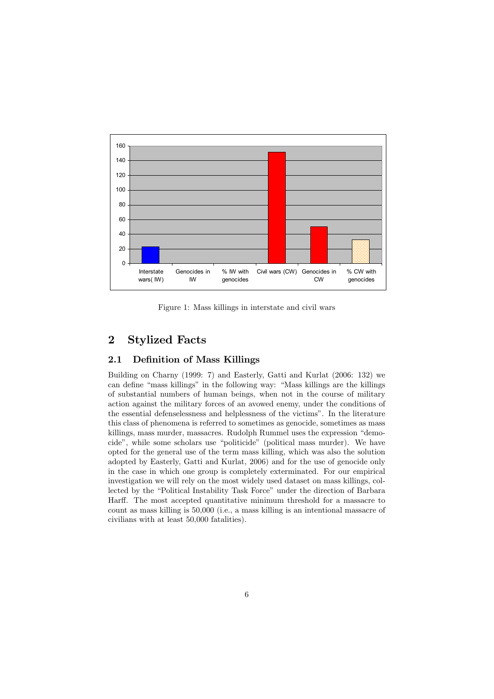

Figure 1: Mass killings in interstate and civil wars

#### $\overline{2}$ **Stylized Facts**

#### **Definition of Mass Killings**  $2.1$

Building on Charny (1999: 7) and Easterly, Gatti and Kurlat (2006: 132) we can define "mass killings" in the following way: "Mass killings are the killings of substantial numbers of human beings, when not in the course of military action against the military forces of an avowed enemy, under the conditions of the essential defenselessness and helplessness of the victims". In the literature this class of phenomena is referred to sometimes as genocide, sometimes as mass killings, mass murder, massacres. Rudolph Rummel uses the expression "democide", while some scholars use "politicide" (political mass murder). We have opted for the general use of the term mass killing, which was also the solution adopted by Easterly, Gatti and Kurlat, 2006) and for the use of genocide only in the case in which one group is completely exterminated. For our empirical investigation we will rely on the most widely used dataset on mass killings, collected by the "Political Instability Task Force" under the direction of Barbara Harff. The most accepted quantitative minimum threshold for a massacre to count as mass killing is 50,000 (i.e., a mass killing is an intentional massacre of civilians with at least 50,000 fatalities).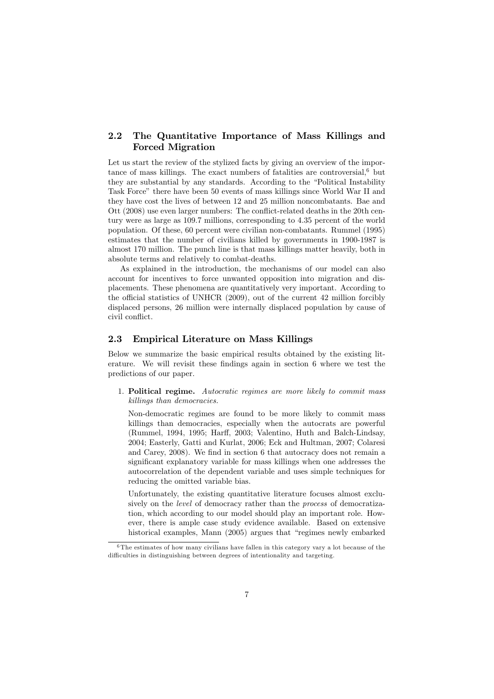#### $2.2$ The Quantitative Importance of Mass Killings and **Forced Migration**

Let us start the review of the stylized facts by giving an overview of the importance of mass killings. The exact numbers of fatalities are controversial,<sup>6</sup> but they are substantial by any standards. According to the "Political Instability Task Force" there have been 50 events of mass killings since World War II and they have cost the lives of between 12 and 25 million noncombatants. Bae and Ott (2008) use even larger numbers: The conflict-related deaths in the 20th century were as large as 109.7 millions, corresponding to 4.35 percent of the world population. Of these, 60 percent were civilian non-combatants. Rummel (1995) estimates that the number of civilians killed by governments in 1900-1987 is almost 170 million. The punch line is that mass killings matter heavily, both in absolute terms and relatively to combat-deaths.

As explained in the introduction, the mechanisms of our model can also account for incentives to force unwanted opposition into migration and displacements. These phenomena are quantitatively very important. According to the official statistics of UNHCR (2009), out of the current 42 million forcibly displaced persons, 26 million were internally displaced population by cause of civil conflict.

#### 2.3 **Empirical Literature on Mass Killings**

Below we summarize the basic empirical results obtained by the existing literature. We will revisit these findings again in section 6 where we test the predictions of our paper.

1. Political regime. Autocratic regimes are more likely to commit mass killings than democracies.

Non-democratic regimes are found to be more likely to commit mass killings than democracies, especially when the autocrats are powerful (Rummel, 1994, 1995; Harff, 2003; Valentino, Huth and Balch-Lindsay, 2004: Easterly, Gatti and Kurlat, 2006: Eck and Hultman, 2007: Colaresi and Carey, 2008). We find in section 6 that autocracy does not remain a significant explanatory variable for mass killings when one addresses the autocorrelation of the dependent variable and uses simple techniques for reducing the omitted variable bias.

Unfortunately, the existing quantitative literature focuses almost exclusively on the *level* of democracy rather than the *process* of democratization, which according to our model should play an important role. However, there is ample case study evidence available. Based on extensive historical examples, Mann (2005) argues that "regimes newly embarked

 $6$ The estimates of how many civilians have fallen in this category vary a lot because of the difficulties in distinguishing between degrees of intentionality and targeting.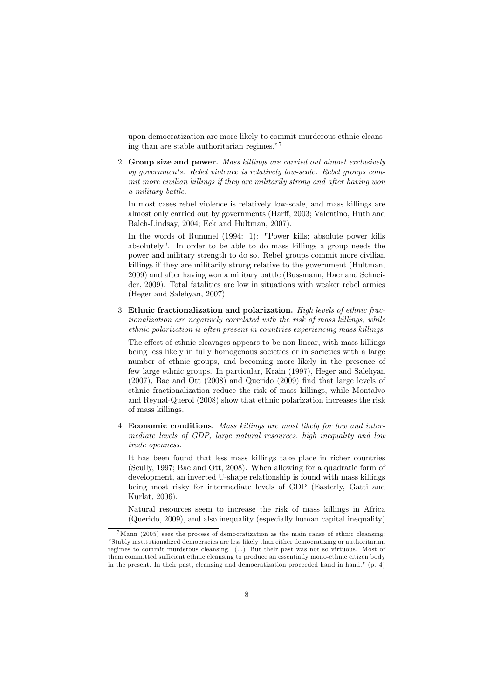upon democratization are more likely to commit murderous ethnic cleansing than are stable authoritarian regimes."

2. Group size and power. Mass killings are carried out almost exclusively by governments. Rebel violence is relatively low-scale. Rebel groups commit more civilian killings if they are militarily strong and after having won a military battle.

In most cases rebel violence is relatively low-scale, and mass killings are almost only carried out by governments (Harff, 2003; Valentino, Huth and Balch-Lindsay, 2004; Eck and Hultman, 2007).

In the words of Rummel (1994: 1): "Power kills; absolute power kills absolutely". In order to be able to do mass killings a group needs the power and military strength to do so. Rebel groups commit more civilian killings if they are militarily strong relative to the government (Hultman, 2009) and after having won a military battle (Bussmann, Haer and Schneider, 2009). Total fatalities are low in situations with weaker rebel armies (Heger and Salehyan, 2007).

3. Ethnic fractionalization and polarization. High levels of ethnic fractionalization are negatively correlated with the risk of mass killings, while ethnic polarization is often present in countries experiencing mass killings.

The effect of ethnic cleavages appears to be non-linear, with mass killings being less likely in fully homogenous societies or in societies with a large number of ethnic groups, and becoming more likely in the presence of few large ethnic groups. In particular, Krain (1997), Heger and Salehyan  $(2007)$ , Bae and Ott  $(2008)$  and Querido  $(2009)$  find that large levels of ethnic fractionalization reduce the risk of mass killings, while Montalvo and Reynal-Querol (2008) show that ethnic polarization increases the risk of mass killings.

4. Economic conditions. Mass killings are most likely for low and intermediate levels of GDP, large natural resources, high inequality and low trade openness.

It has been found that less mass killings take place in richer countries (Scully, 1997; Bae and Ott, 2008). When allowing for a quadratic form of development, an inverted U-shape relationship is found with mass killings being most risky for intermediate levels of GDP (Easterly, Gatti and Kurlat, 2006).

Natural resources seem to increase the risk of mass killings in Africa (Querido, 2009), and also inequality (especially human capital inequality)

 $7$ Mann (2005) sees the process of democratization as the main cause of ethnic cleansing: "Stably institutionalized democracies are less likely than either democratizing or authoritarian regimes to commit murderous cleansing. (...) But their past was not so virtuous. Most of them committed sufficient ethnic cleansing to produce an essentially mono-ethnic citizen body in the present. In their past, cleansing and democratization proceeded hand in hand."  $(p. 4)$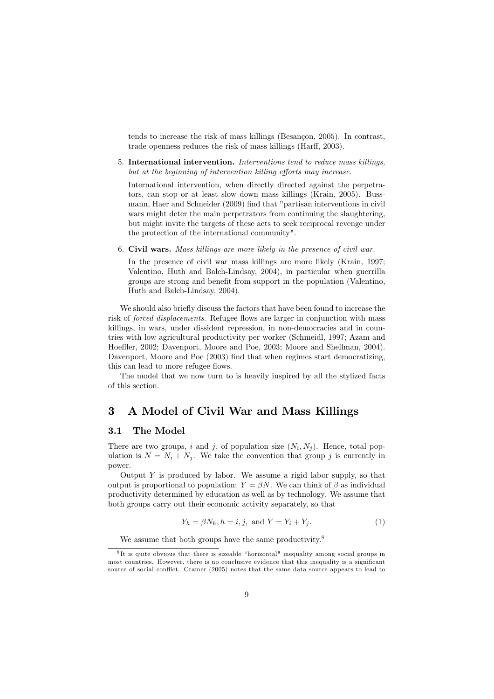tends to increase the risk of mass killings (Besançon, 2005). In contrast, trade openness reduces the risk of mass killings (Harff, 2003).

5. International intervention. Interventions tend to reduce mass killings, but at the beginning of intervention killing efforts may increase.

International intervention, when directly directed against the perpetrators, can stop or at least slow down mass killings (Krain, 2005). Bussmann, Haer and Schneider (2009) find that "partisan interventions in civil wars might deter the main perpetrators from continuing the slaughtering, but might invite the targets of these acts to seek reciprocal revenge under the protection of the international community".

6. Civil wars. Mass killings are more likely in the presence of civil war.

In the presence of civil war mass killings are more likely (Krain, 1997; Valentino, Huth and Balch-Lindsay, 2004), in particular when guerrilla groups are strong and benefit from support in the population (Valentino, Huth and Balch-Lindsay, 2004).

We should also briefly discuss the factors that have been found to increase the risk of *forced displacements*. Refugee flows are larger in conjunction with mass killings, in wars, under dissident repression, in non-democracies and in countries with low agricultural productivity per worker (Schmeidl, 1997; Azam and Hoeffler, 2002; Davenport, Moore and Poe, 2003; Moore and Shellman, 2004). Davenport, Moore and Poe (2003) find that when regimes start democratizing, this can lead to more refugee flows.

The model that we now turn to is heavily inspired by all the stylized facts of this section.

#### A Model of Civil War and Mass Killings 3

#### $3.1$ The Model

There are two groups, i and j, of population size  $(N_i, N_j)$ . Hence, total population is  $N = N_i + N_j$ . We take the convention that group j is currently in power.

Output  $Y$  is produced by labor. We assume a rigid labor supply, so that output is proportional to population:  $Y = \beta N$ . We can think of  $\beta$  as individual productivity determined by education as well as by technology. We assume that both groups carry out their economic activity separately, so that

$$
Y_h = \beta N_h, h = i, j, \text{ and } Y = Y_i + Y_j.
$$
\n<sup>(1)</sup>

We assume that both groups have the same productivity. $8$ 

 ${}^{8}$ It is quite obvious that there is sizeable "horizontal" inequality among social groups in most countries. However, there is no conclusive evidence that this inequality is a significant source of social conflict. Cramer (2005) notes that the same data source appears to lead to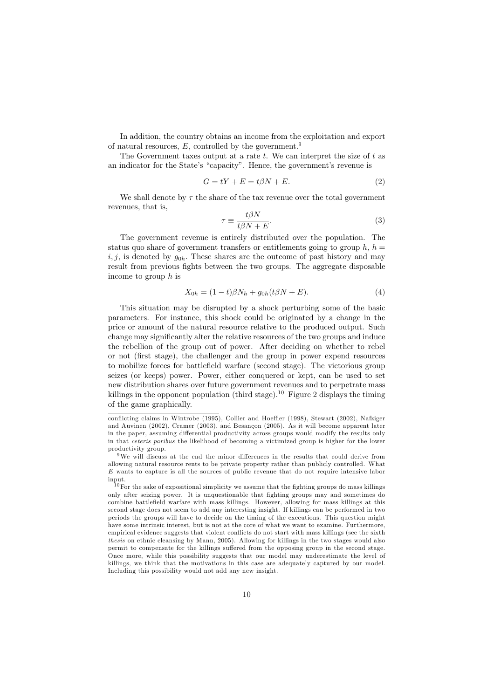In addition, the country obtains an income from the exploitation and export of natural resources,  $E$ , controlled by the government.<sup>9</sup>

The Government taxes output at a rate  $t$ . We can interpret the size of  $t$  as an indicator for the State's "capacity". Hence, the government's revenue is

$$
G = tY + E = t\beta N + E. \tag{2}
$$

We shall denote by  $\tau$  the share of the tax revenue over the total government revenues, that is,

$$
\tau \equiv \frac{t\beta N}{t\beta N + E}.\tag{3}
$$

The government revenue is entirely distributed over the population. The status quo share of government transfers or entitlements going to group h,  $h =$  $i, j$ , is denoted by  $g_{0h}$ . These shares are the outcome of past history and may result from previous fights between the two groups. The aggregate disposable income to group  $h$  is

$$
X_{0h} = (1 - t)\beta N_h + g_{0h}(t\beta N + E).
$$
\n(4)

This situation may be disrupted by a shock perturbing some of the basic parameters. For instance, this shock could be originated by a change in the price or amount of the natural resource relative to the produced output. Such change may significantly alter the relative resources of the two groups and induce the rebellion of the group out of power. After deciding on whether to rebel or not (first stage), the challenger and the group in power expend resources to mobilize forces for battlefield warfare (second stage). The victorious group seizes (or keeps) power. Power, either conquered or kept, can be used to set new distribution shares over future government revenues and to perpetrate mass killings in the opponent population (third stage).<sup>10</sup> Figure 2 displays the timing of the game graphically.

conflicting claims in Wintrobe (1995), Collier and Hoeffler (1998), Stewart (2002), Nafziger and Auvinen (2002), Cramer (2003), and Besançon (2005). As it will become apparent later in the paper, assuming differential productivity across groups would modify the results only in that *ceteris paribus* the likelihood of becoming a victimized group is higher for the lower productivity group.

<sup>&</sup>lt;sup>9</sup>We will discuss at the end the minor differences in the results that could derive from allowing natural resource rents to be private property rather than publicly controlled. What  $E$  wants to capture is all the sources of public revenue that do not require intensive labor input.

 $10$  For the sake of expositional simplicity we assume that the fighting groups do mass killings only after seizing power. It is unquestionable that fighting groups may and sometimes do combine battlefield warfare with mass killings. However, allowing for mass killings at this second stage does not seem to add any interesting insight. If killings can be performed in two periods the groups will have to decide on the timing of the executions. This question might have some intrinsic interest, but is not at the core of what we want to examine. Furthermore empirical evidence suggests that violent conflicts do not start with mass killings (see the sixth thesis on ethnic cleansing by Mann, 2005). Allowing for killings in the two stages would also permit to compensate for the killings suffered from the opposing group in the second stage. Once more, while this possibility suggests that our model may underestimate the level of killings, we think that the motivations in this case are adequately captured by our model. Including this possibility would not add any new insight.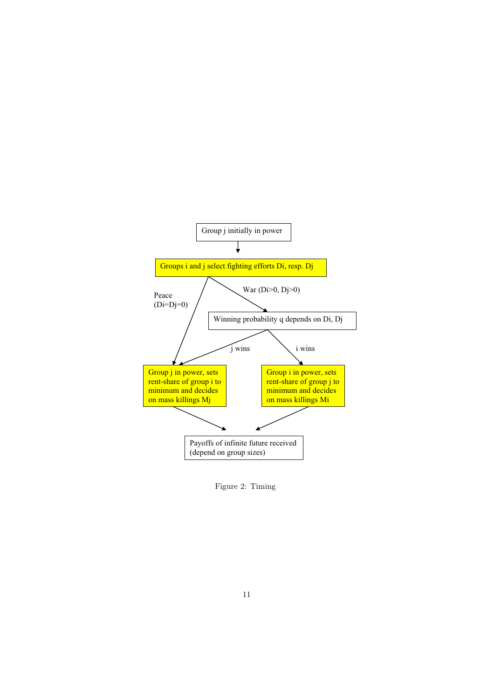

Figure 2: Timing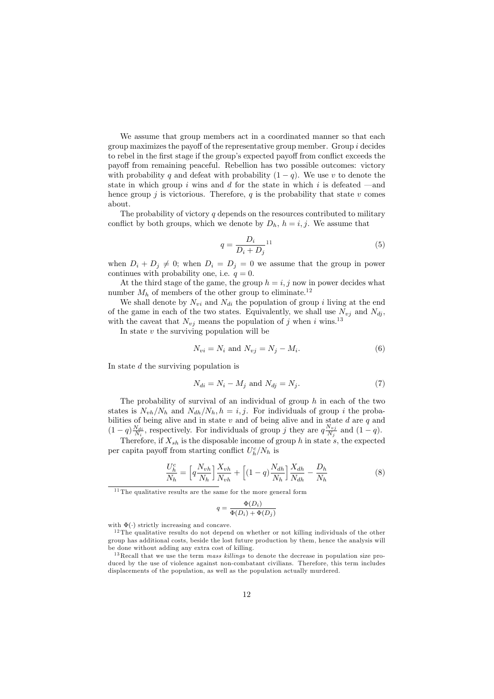We assume that group members act in a coordinated manner so that each group maximizes the payoff of the representative group member. Group  $i$  decides to rebel in the first stage if the group's expected payoff from conflict exceeds the payoff from remaining peaceful. Rebellion has two possible outcomes: victory with probability q and defeat with probability  $(1-q)$ . We use v to denote the state in which group  $i$  wins and  $d$  for the state in which  $i$  is defeated  $-$ and hence group j is victorious. Therefore,  $q$  is the probability that state v comes about.

The probability of victory  $q$  depends on the resources contributed to military conflict by both groups, which we denote by  $D_h$ ,  $h = i, j$ . We assume that

$$
q = \frac{D_i}{D_i + D_j}^{11} \tag{5}
$$

when  $D_i + D_j \neq 0$ ; when  $D_i = D_j = 0$  we assume that the group in power continues with probability one, i.e.  $q = 0$ .

At the third stage of the game, the group  $h = i, j$  now in power decides what number  $M_h$  of members of the other group to eliminate.<sup>12</sup>

We shall denote by  $N_{vi}$  and  $N_{di}$  the population of group i living at the end of the game in each of the two states. Equivalently, we shall use  $N_{vj}$  and  $N_{dj}$ , with the caveat that  $N_{vj}$  means the population of j when i wins.<sup>13</sup>

In state  $v$  the surviving population will be

$$
N_{vi} = N_i \text{ and } N_{vj} = N_j - M_i. \tag{6}
$$

In state  $d$  the surviving population is

$$
N_{di} = N_i - M_j \text{ and } N_{dj} = N_j. \tag{7}
$$

The probability of survival of an individual of group  $h$  in each of the two states is  $N_{vh}/N_h$  and  $N_{dh}/N_h$ ,  $h = i, j$ . For individuals of group i the probabilities of being alive and in state  $v$  and of being alive and in state  $d$  are  $q$  and  $(1-q)\frac{N_{di}}{N_i}$ , respectively. For individuals of group j they are  $q\frac{N_{vj}}{N_j}$  and  $(1-q)$ .

Therefore, if  $X_{sh}$  is the disposable income of group h in state s, the expected per capita payoff from starting conflict  $U_h^c/N_h$  is

$$
\frac{U_h^c}{N_h} = \left[ q \frac{N_{vh}}{N_h} \right] \frac{X_{vh}}{N_{vh}} + \left[ (1 - q) \frac{N_{dh}}{N_h} \right] \frac{X_{dh}}{N_{dh}} - \frac{D_h}{N_h}
$$
(8)

 $11$ The qualitative results are the same for the more general form

$$
q = \frac{\Phi(D_i)}{\Phi(D_i) + \Phi(D_j)}
$$

with  $\Phi(\cdot)$  strictly increasing and concave.

 $12$ The qualitative results do not depend on whether or not killing individuals of the other group has additional costs, beside the lost future production by them, hence the analysis will be done without adding any extra cost of killing.

 $13$  Recall that we use the term *mass killings* to denote the decrease in population size produced by the use of violence against non-combatant civilians. Therefore, this term includes displacements of the population, as well as the population actually murdered.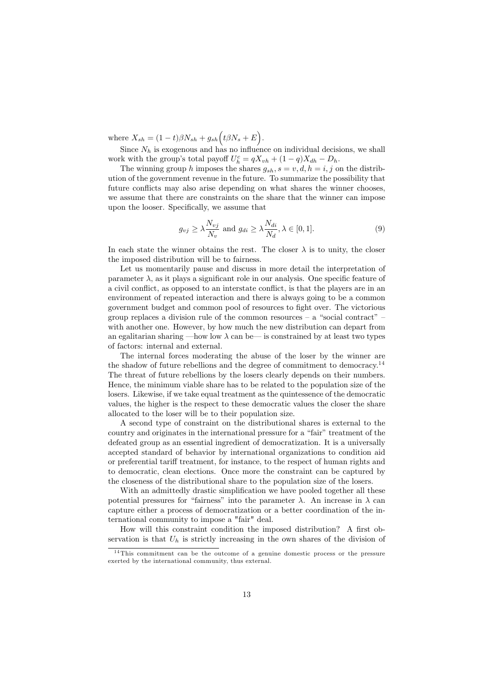where  $X_{sh} = (1-t)\beta N_{sh} + g_{sh} (t\beta N_s + E).$ 

Since  $N_h$  is exogenous and has no influence on individual decisions, we shall work with the group's total payoff  $U_h^c = qX_{vh} + (1-q)X_{dh} - D_h$ .

The winning group h imposes the shares  $g_{sh}$ ,  $s = v, d, h = i, j$  on the distribution of the government revenue in the future. To summarize the possibility that future conflicts may also arise depending on what shares the winner chooses. we assume that there are constraints on the share that the winner can impose upon the looser. Specifically, we assume that

$$
g_{vj} \ge \lambda \frac{N_{vj}}{N_v} \text{ and } g_{di} \ge \lambda \frac{N_{di}}{N_d}, \lambda \in [0, 1].
$$
 (9)

In each state the winner obtains the rest. The closer  $\lambda$  is to unity, the closer the imposed distribution will be to fairness.

Let us momentarily pause and discuss in more detail the interpretation of parameter  $\lambda$ , as it plays a significant role in our analysis. One specific feature of a civil conflict, as opposed to an interstate conflict, is that the players are in an environment of repeated interaction and there is always going to be a common government budget and common pool of resources to fight over. The victorious group replaces a division rule of the common resources  $-$  a "social contract" with another one. However, by how much the new distribution can depart from an egalitarian sharing —how low  $\lambda$  can be— is constrained by at least two types of factors: internal and external.

The internal forces moderating the abuse of the loser by the winner are the shadow of future rebellions and the degree of commitment to democracy.<sup>14</sup> The threat of future rebellions by the losers clearly depends on their numbers. Hence, the minimum viable share has to be related to the population size of the losers. Likewise, if we take equal treatment as the quintessence of the democratic values, the higher is the respect to these democratic values the closer the share allocated to the loser will be to their population size.

A second type of constraint on the distributional shares is external to the country and originates in the international pressure for a "fair" treatment of the defeated group as an essential ingredient of democratization. It is a universally accepted standard of behavior by international organizations to condition aid or preferential tariff treatment, for instance, to the respect of human rights and to democratic, clean elections. Once more the constraint can be captured by the closeness of the distributional share to the population size of the losers.

With an admittedly drastic simplification we have pooled together all these potential pressures for "fairness" into the parameter  $\lambda$ . An increase in  $\lambda$  can capture either a process of democratization or a better coordination of the international community to impose a "fair" deal.

How will this constraint condition the imposed distribution? A first observation is that  $U_h$  is strictly increasing in the own shares of the division of

 $14$ This commitment can be the outcome of a genuine domestic process or the pressure exerted by the international community, thus external.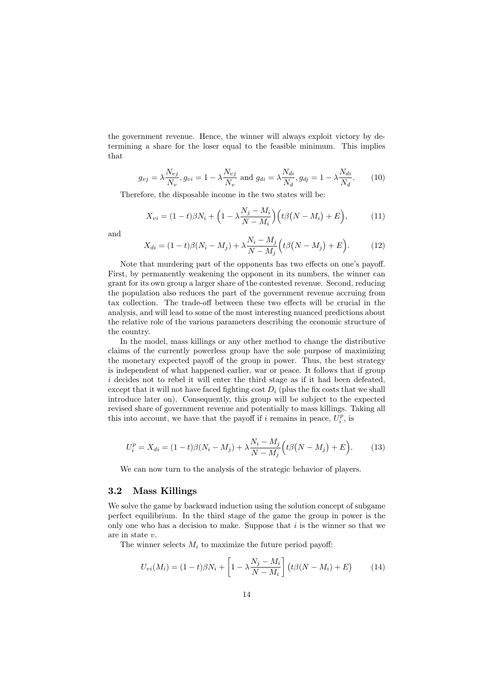the government revenue. Hence, the winner will always exploit victory by determining a share for the loser equal to the feasible minimum. This implies that

$$
g_{vj} = \lambda \frac{N_{vj}}{N_v}, g_{vi} = 1 - \lambda \frac{N_{vj}}{N_v} \text{ and } g_{di} = \lambda \frac{N_{di}}{N_d}, g_{dj} = 1 - \lambda \frac{N_{di}}{N_d}.
$$
 (10)

Therefore, the disposable income in the two states will be:

$$
X_{vi} = (1-t)\beta N_i + \left(1 - \lambda \frac{N_j - M_i}{N - M_i}\right) \left(t\beta (N - M_i) + E\right),\tag{11}
$$

and

$$
X_{di} = (1 - t)\beta (N_i - M_j) + \lambda \frac{N_i - M_j}{N - M_j} \Big( t\beta (N - M_j) + E \Big). \tag{12}
$$

Note that murdering part of the opponents has two effects on one's payoff. First, by permanently weakening the opponent in its numbers, the winner can grant for its own group a larger share of the contested revenue. Second, reducing the population also reduces the part of the government revenue accruing from tax collection. The trade-off between these two effects will be crucial in the analysis, and will lead to some of the most interesting nuanced predictions about the relative role of the various parameters describing the economic structure of the country.

In the model, mass killings or any other method to change the distributive claims of the currently powerless group have the sole purpose of maximizing the monetary expected payoff of the group in power. Thus, the best strategy is independent of what happened earlier, war or peace. It follows that if group *i* decides not to rebel it will enter the third stage as if it had been defeated, except that it will not have faced fighting cost  $D_i$  (plus the fix costs that we shall introduce later on). Consequently, this group will be subject to the expected revised share of government revenue and potentially to mass killings. Taking all this into account, we have that the payoff if i remains in peace,  $U_i^p$ , is

$$
U_i^p = X_{di} = (1 - t)\beta (N_i - M_j) + \lambda \frac{N_i - M_j}{N - M_j} \Big( t\beta (N - M_j) + E \Big). \tag{13}
$$

We can now turn to the analysis of the strategic behavior of players.

#### $3.2$ **Mass Killings**

We solve the game by backward induction using the solution concept of subgame perfect equilibrium. In the third stage of the game the group in power is the only one who has a decision to make. Suppose that  $i$  is the winner so that we are in state  $v$ .

The winner selects  $M_i$  to maximize the future period payoff:

$$
U_{vi}(M_i) = (1-t)\beta N_i + \left[1 - \lambda \frac{N_j - M_i}{N - M_i}\right] (t\beta (N - M_i) + E)
$$
 (14)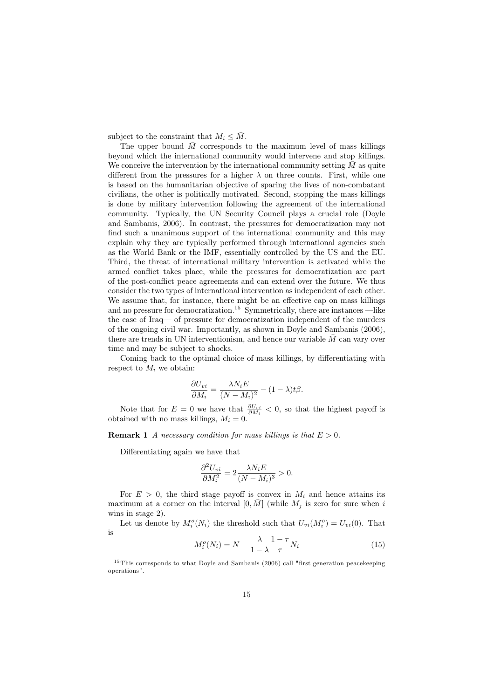subject to the constraint that  $M_i \leq \overline{M}$ .

The upper bound  $\overline{M}$  corresponds to the maximum level of mass killings beyond which the international community would intervene and stop killings. We conceive the intervention by the international community setting  $M$  as quite different from the pressures for a higher  $\lambda$  on three counts. First, while one is based on the humanitarian objective of sparing the lives of non-combatant civilians, the other is politically motivated. Second, stopping the mass killings is done by military intervention following the agreement of the international community. Typically, the UN Security Council plays a crucial role (Doyle and Sambanis, 2006). In contrast, the pressures for democratization may not find such a unanimous support of the international community and this may explain why they are typically performed through international agencies such as the World Bank or the IMF, essentially controlled by the US and the EU. Third, the threat of international military intervention is activated while the armed conflict takes place, while the pressures for democratization are part of the post-conflict peace agreements and can extend over the future. We thus consider the two types of international intervention as independent of each other. We assume that, for instance, there might be an effective cap on mass killings and no pressure for democratization.<sup>15</sup> Symmetrically, there are instances —like the case of Iraq— of pressure for democratization independent of the murders of the ongoing civil war. Importantly, as shown in Doyle and Sambanis (2006), there are trends in UN interventionism, and hence our variable  $\overline{M}$  can vary over time and may be subject to shocks.

Coming back to the optimal choice of mass killings, by differentiating with respect to  $M_i$  we obtain:

$$
\frac{\partial U_{vi}}{\partial M_i} = \frac{\lambda N_i E}{(N - M_i)^2} - (1 - \lambda)t\beta.
$$

Note that for  $E = 0$  we have that  $\frac{\partial U_{vi}}{\partial M_i} < 0$ , so that the highest payoff is obtained with no mass killings,  $M_i = 0$ .

**Remark 1** A necessary condition for mass killings is that  $E > 0$ .

Differentiating again we have that

$$
\frac{\partial^2 U_{vi}}{\partial M_i^2} = 2 \frac{\lambda N_i E}{(N - M_i)^3} > 0.
$$

For  $E > 0$ , the third stage payoff is convex in  $M_i$  and hence attains its maximum at a corner on the interval  $[0,\bar M]$  (while  $M_j$  is zero for sure when  $i$ wins in stage  $2$ ).

Let us denote by  $M_i^o(N_i)$  the threshold such that  $U_{vi}(M_i^o) = U_{vi}(0)$ . That is

$$
M_i^o(N_i) = N - \frac{\lambda}{1 - \lambda} \frac{1 - \tau}{\tau} N_i
$$
\n(15)

 $15$  This corresponds to what Doyle and Sambanis (2006) call "first generation peacekeeping operations".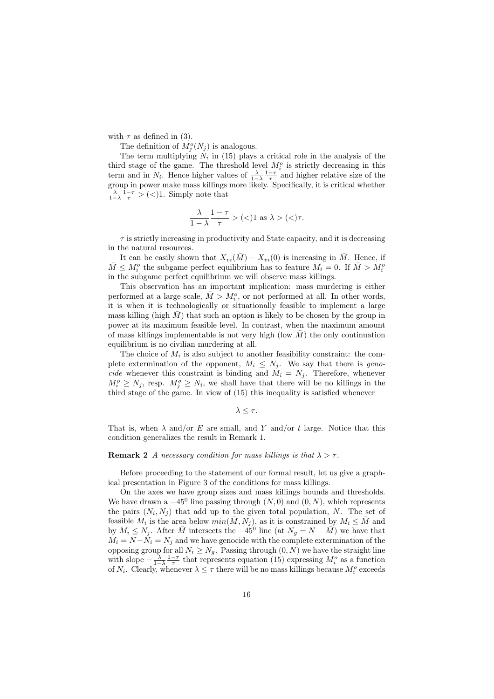with  $\tau$  as defined in (3).

The definition of  $M_i^o(N_i)$  is analogous.

The term multiplying  $N_i$  in (15) plays a critical role in the analysis of the third stage of the game. The threshold level  $M_i^o$  is strictly decreasing in this term and in  $N_i$ . Hence higher values of  $\frac{\lambda}{1-\lambda} \frac{1-\tau}{\tau}$  and higher relative size of the group in power make mass killings more likely. Specifically, it is critical whether  $\frac{\lambda}{1-\lambda} \frac{1-\tau}{\tau} > (<1$ . Simply note that

$$
\frac{\lambda}{1-\lambda}\frac{1-\tau}{\tau} > (<1 \text{ as } \lambda > (<)\tau.
$$

 $\tau$  is strictly increasing in productivity and State capacity, and it is decreasing in the natural resources.

It can be easily shown that  $X_{vi}(\bar{M}) - X_{vi}(0)$  is increasing in  $\bar{M}$ . Hence, if  $\bar{M} \leq M_i^o$  the subgame perfect equilibrium has to feature  $M_i = 0$ . If  $\bar{M} > M_i^o$ in the subgame perfect equilibrium we will observe mass killings.

This observation has an important implication: mass murdering is either performed at a large scale,  $\overline{M} > M_i^o$ , or not performed at all. In other words, it is when it is technologically or situationally feasible to implement a large mass killing (high  $\bar{M}$ ) that such an option is likely to be chosen by the group in power at its maximum feasible level. In contrast, when the maximum amount of mass killings implementable is not very high (low  $M$ ) the only continuation equilibrium is no civilian murdering at all.

The choice of  $M_i$  is also subject to another feasibility constraint: the complete extermination of the opponent,  $M_i \leq N_j$ . We say that there is geno*cide* whenever this constraint is binding and  $\dot{M}_i = N_j$ . Therefore, whenever  $M_i^o \geq N_j$ , resp.  $M_i^o \geq N_i$ , we shall have that there will be no killings in the third stage of the game. In view of (15) this inequality is satisfied whenever

 $\lambda \leq \tau$ .

That is, when  $\lambda$  and/or E are small, and Y and/or t large. Notice that this condition generalizes the result in Remark 1.

### **Remark 2** A necessary condition for mass killings is that  $\lambda > \tau$ .

Before proceeding to the statement of our formal result, let us give a graphical presentation in Figure 3 of the conditions for mass killings.

On the axes we have group sizes and mass killings bounds and thresholds. We have drawn a  $-45^0$  line passing through  $(N,0)$  and  $(0,N)$ , which represents the pairs  $(N_i, N_j)$  that add up to the given total population, N. The set of feasible  $M_i$  is the area below  $min(\bar{M}, N_j)$ , as it is constrained by  $M_i \leq \bar{M}$  and by  $M_i \leq N_j$ . After  $\bar{M}$  intersects the  $-45^0$  line (at  $N_g = N - \bar{M}$ ) we have that  $M_i = N - N_i = N_j$  and we have genocide with the complete extermination of the opposing group for all  $N_i \geq N_g$ . Passing through  $(0, N)$  we have the straight line<br>with slope  $-\frac{\lambda}{1-\lambda} \frac{1-\tau}{\tau}$  that represents equation (15) expressing  $M_i^o$  as a function of  $N_i$ . Clearly, whenever  $\lambda \leq \tau$  there will be no mass killings because  $M_i^o$  exceeds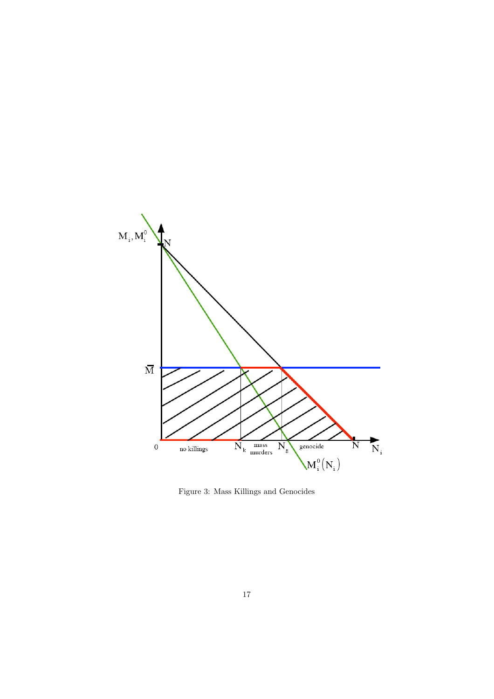

Figure 3: Mass Killings and Genocides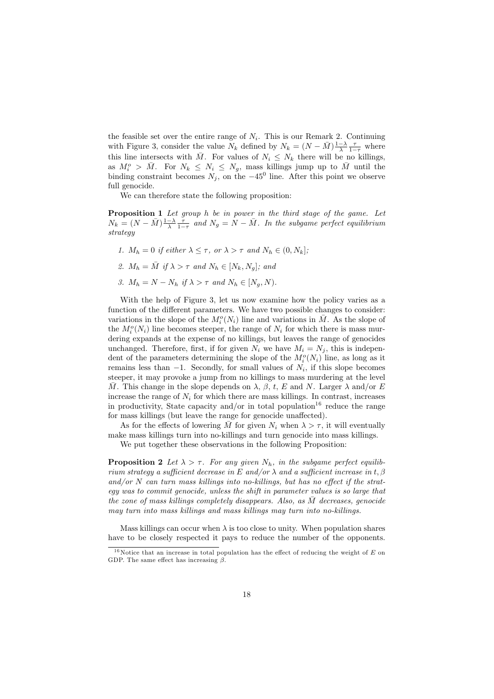the feasible set over the entire range of  $N_i$ . This is our Remark 2. Continuing with Figure 3, consider the value  $N_k$  defined by  $N_k = (N - \bar{M})\frac{1-\lambda}{\lambda} \frac{\tau}{1-\tau}$  where this line intersects with  $\overline{M}$ . For values of  $N_i \leq N_k$  there will be no killings, as  $M_i^o > \bar{M}$ . For  $N_k \leq N_i \leq N_g$ , mass killings jump up to  $\bar{M}$  until the binding constraint becomes  $N_j$ , on the  $-45^0$  line. After this point we observe full genocide.

We can therefore state the following proposition:

**Proposition 1** Let group h be in power in the third stage of the game. Let  $N_k = (N - \bar{M})\frac{1-\lambda}{\lambda}\frac{\tau}{1-\tau}$  and  $N_q = N - \bar{M}$ . In the subgame perfect equilibrium  $strategy$ 

- 1.  $M_h = 0$  if either  $\lambda \leq \tau$ , or  $\lambda > \tau$  and  $N_h \in (0, N_k]$ ;
- 2.  $M_h = \overline{M}$  if  $\lambda > \tau$  and  $N_h \in [N_k, N_q]$ ; and
- 3.  $M_h = N N_h$  if  $\lambda > \tau$  and  $N_h \in [N_a, N)$ .

With the help of Figure 3, let us now examine how the policy varies as a function of the different parameters. We have two possible changes to consider: variations in the slope of the  $M_i^o(N_i)$  line and variations in  $\overline{M}$ . As the slope of the  $M_i^o(N_i)$  line becomes steeper, the range of  $N_i$  for which there is mass murdering expands at the expense of no killings, but leaves the range of genocides unchanged. Therefore, first, if for given  $N_i$  we have  $M_i = N_j$ , this is independent of the parameters determining the slope of the  $M_i^o(N_i)$  line, as long as it remains less than  $-1$ . Secondly, for small values of  $N_i$ , if this slope becomes steeper, it may provoke a jump from no killings to mass murdering at the level  $\overline{M}$ . This change in the slope depends on  $\lambda$ ,  $\beta$ , t, E and N. Larger  $\lambda$  and/or E increase the range of  $N_i$  for which there are mass killings. In contrast, increases in productivity, State capacity and/or in total population<sup>16</sup> reduce the range for mass killings (but leave the range for genocide unaffected).

As for the effects of lowering  $\overline{M}$  for given  $N_i$  when  $\lambda > \tau$ , it will eventually make mass killings turn into no-killings and turn genocide into mass killings. We put together these observations in the following Proposition:

**Proposition 2** Let  $\lambda > \tau$ . For any given  $N_h$ , in the subgame perfect equilibrium strategy a sufficient decrease in E and/or  $\lambda$  and a sufficient increase in t,  $\beta$ and/or  $N$  can turn mass killings into no-killings, but has no effect if the strateqy was to commit genocide, unless the shift in parameter values is so large that the zone of mass killings completely disappears. Also, as  $\overline{M}$  decreases, genocide may turn into mass killings and mass killings may turn into no-killings.

Mass killings can occur when  $\lambda$  is too close to unity. When population shares have to be closely respected it pays to reduce the number of the opponents.

<sup>&</sup>lt;sup>16</sup>Notice that an increase in total population has the effect of reducing the weight of E on GDP. The same effect has increasing  $\beta$ .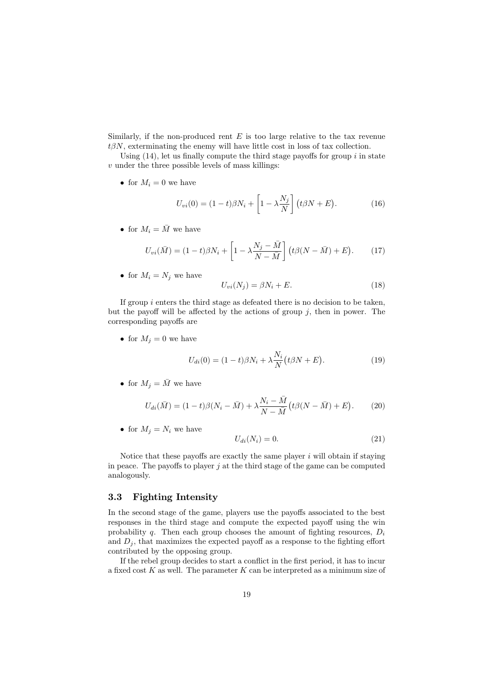Similarly, if the non-produced rent  $E$  is too large relative to the tax revenue  $t\beta N$ , exterminating the enemy will have little cost in loss of tax collection.

Using  $(14)$ , let us finally compute the third stage payoffs for group i in state  $v$  under the three possible levels of mass killings:

• for  $M_i = 0$  we have

$$
U_{vi}(0) = (1-t)\beta N_i + \left[1 - \lambda \frac{N_j}{N}\right] (t\beta N + E). \tag{16}
$$

• for  $M_i = \overline{M}$  we have

$$
U_{vi}(\bar{M}) = (1-t)\beta N_i + \left[1 - \lambda \frac{N_j - \bar{M}}{N - \bar{M}}\right] (t\beta (N - \bar{M}) + E). \tag{17}
$$

• for  $M_i = N_j$  we have

$$
U_{vi}(N_j) = \beta N_i + E. \tag{18}
$$

If group  $i$  enters the third stage as defeated there is no decision to be taken, but the payoff will be affected by the actions of group  $j$ , then in power. The corresponding payoffs are

• for  $M_j = 0$  we have

$$
U_{di}(0) = (1-t)\beta N_i + \lambda \frac{N_i}{N} (t\beta N + E). \tag{19}
$$

• for  $M_i = \overline{M}$  we have

$$
U_{di}(\bar{M}) = (1-t)\beta(N_i - \bar{M}) + \lambda \frac{N_i - M}{N - \bar{M}} \left(t\beta(N - \bar{M}) + E\right). \tag{20}
$$

• for  $M_j = N_i$  we have

$$
U_{di}(N_i) = 0.\t(21)
$$

Notice that these payoffs are exactly the same player  $i$  will obtain if staying in peace. The payoffs to player  $j$  at the third stage of the game can be computed analogously.

#### **Fighting Intensity** 3.3

In the second stage of the game, players use the payoffs associated to the best responses in the third stage and compute the expected payoff using the win probability q. Then each group chooses the amount of fighting resources,  $D_i$ and  $D_j$ , that maximizes the expected payoff as a response to the fighting effort contributed by the opposing group.

If the rebel group decides to start a conflict in the first period, it has to incur a fixed cost  $K$  as well. The parameter  $K$  can be interpreted as a minimum size of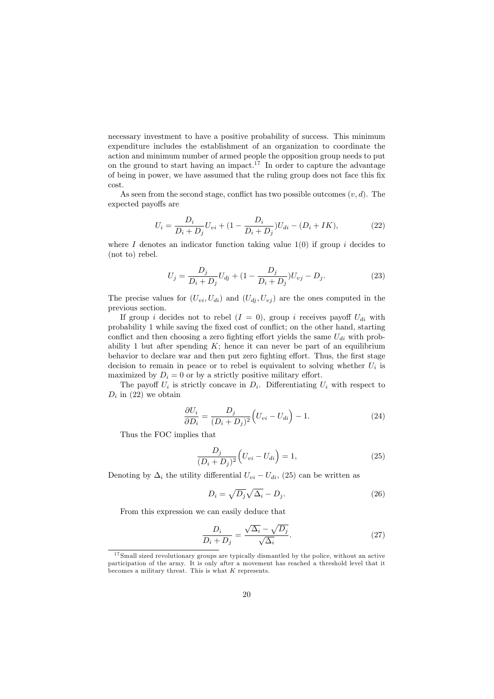necessary investment to have a positive probability of success. This minimum expenditure includes the establishment of an organization to coordinate the action and minimum number of armed people the opposition group needs to put on the ground to start having an impact.<sup>17</sup> In order to capture the advantage of being in power, we have assumed that the ruling group does not face this fix  $cost.$ 

As seen from the second stage, conflict has two possible outcomes  $(v, d)$ . The expected payoffs are

$$
U_i = \frac{D_i}{D_i + D_j} U_{vi} + (1 - \frac{D_i}{D_i + D_j}) U_{di} - (D_i + IK),
$$
\n(22)

where I denotes an indicator function taking value  $1(0)$  if group i decides to  $(not to)$  rebel.

$$
U_j = \frac{D_j}{D_i + D_j} U_{dj} + (1 - \frac{D_j}{D_i + D_j}) U_{vj} - D_j.
$$
 (23)

The precise values for  $(U_{vi}, U_{di})$  and  $(U_{dj}, U_{vj})$  are the ones computed in the previous section.

If group i decides not to rebel  $(I = 0)$ , group i receives payoff  $U_{di}$  with probability 1 while saving the fixed cost of conflict; on the other hand, starting conflict and then choosing a zero fighting effort yields the same  $U_{di}$  with probability 1 but after spending  $K$ ; hence it can never be part of an equilibrium behavior to declare war and then put zero fighting effort. Thus, the first stage decision to remain in peace or to rebel is equivalent to solving whether  $U_i$  is maximized by  $D_i = 0$  or by a strictly positive military effort.

The payoff  $U_i$  is strictly concave in  $D_i$ . Differentiating  $U_i$  with respect to  $D_i$  in (22) we obtain

$$
\frac{\partial U_i}{\partial D_i} = \frac{D_j}{(D_i + D_j)^2} \left( U_{vi} - U_{di} \right) - 1.
$$
\n(24)

Thus the FOC implies that

$$
\frac{D_j}{(D_i + D_j)^2} \left( U_{vi} - U_{di} \right) = 1,\t\t(25)
$$

Denoting by  $\Delta_i$  the utility differential  $U_{vi} - U_{di}$ , (25) can be written as

$$
D_i = \sqrt{D_j} \sqrt{\Delta_i} - D_j. \tag{26}
$$

From this expression we can easily deduce that

$$
\frac{D_i}{D_i + D_j} = \frac{\sqrt{\Delta_i} - \sqrt{D_j}}{\sqrt{\Delta_i}}.\tag{27}
$$

 $17$  Small sized revolutionary groups are typically dismantled by the police, without an active participation of the army. It is only after a movement has reached a threshold level that it becomes a military threat. This is what  $K$  represents.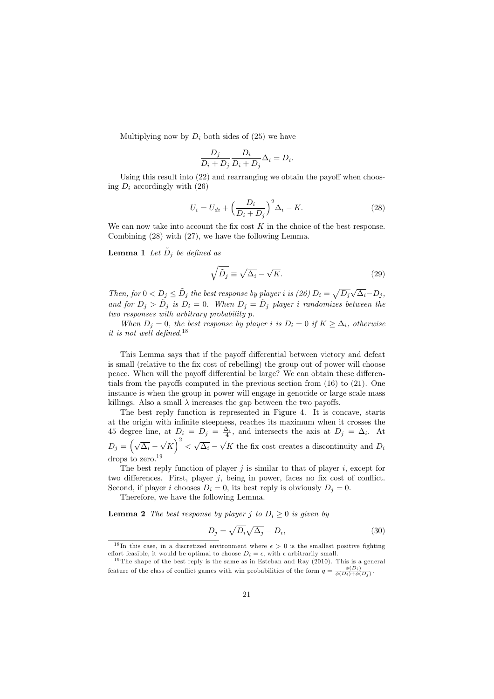Multiplying now by  $D_i$  both sides of (25) we have

$$
\frac{D_j}{D_i + D_j} \frac{D_i}{D_i + D_j} \Delta_i = D_i.
$$

Using this result into  $(22)$  and rearranging we obtain the payoff when choosing  $D_i$  accordingly with (26)

$$
U_i = U_{di} + \left(\frac{D_i}{D_i + D_j}\right)^2 \Delta_i - K.
$$
\n(28)

We can now take into account the fix cost  $K$  in the choice of the best response. Combining  $(28)$  with  $(27)$ , we have the following Lemma.

**Lemma 1** Let  $\tilde{D}_i$  be defined as

$$
\sqrt{\tilde{D}_j} \equiv \sqrt{\Delta_i} - \sqrt{K}.\tag{29}
$$

Then, for  $0 < D_j \leq \tilde{D}_j$  the best response by player i is (26)  $D_i = \sqrt{D_j} \sqrt{\Delta_i} - D_j$ , and for  $D_j > \tilde{D}_j$  is  $D_i = 0$ . When  $D_j = \tilde{D}_j$  player i randomizes between the two responses with arbitrary probability p.

When  $D_i = 0$ , the best response by player i is  $D_i = 0$  if  $K \geq \Delta_i$ , otherwise it is not well defined.<sup>18</sup>

This Lemma says that if the payoff differential between victory and defeat is small (relative to the fix cost of rebelling) the group out of power will choose peace. When will the payoff differential be large? We can obtain these differentials from the payoffs computed in the previous section from  $(16)$  to  $(21)$ . One instance is when the group in power will engage in genocide or large scale mass killings. Also a small  $\lambda$  increases the gap between the two payoffs.

The best reply function is represented in Figure 4. It is concave, starts at the origin with infinite steepness, reaches its maximum when it crosses the at the origin with limitie steepness, reaches its maximum when it crosses the<br>45 degree line, at  $D_i = D_j = \frac{\Delta_i}{4}$ , and intersects the axis at  $D_j = \Delta_i$ . At<br> $D_j = (\sqrt{\Delta_i} - \sqrt{K})^2 < \sqrt{\Delta_i} - \sqrt{K}$  the fix cost creates a discontinu drops to zero. $19$ 

The best reply function of player  $j$  is similar to that of player  $i$ , except for two differences. First, player  $j$ , being in power, faces no fix cost of conflict. Second, if player *i* chooses  $D_i = 0$ , its best reply is obviously  $D_j = 0$ .

Therefore, we have the following Lemma.

**Lemma 2** The best response by player j to  $D_i \geq 0$  is given by

$$
D_j = \sqrt{D_i} \sqrt{\Delta_j} - D_i,\tag{30}
$$

<sup>&</sup>lt;sup>18</sup>In this case, in a discretized environment where  $\epsilon > 0$  is the smallest positive fighting effort feasible, it would be optimal to choose  $D_i = \epsilon$ , with  $\epsilon$  arbitrarily small.

<sup>&</sup>lt;sup>19</sup>The shape of the best reply is the same as in Esteban and Ray  $(2010)$ . This is a general feature of the class of conflict games with win probabilities of the form  $q = \frac{\phi(D_i)}{\phi(D_i) + \phi(D_i)}$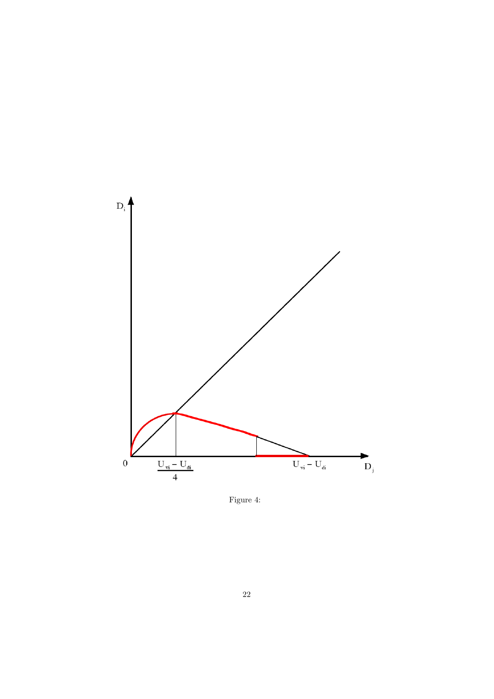

Figure 4: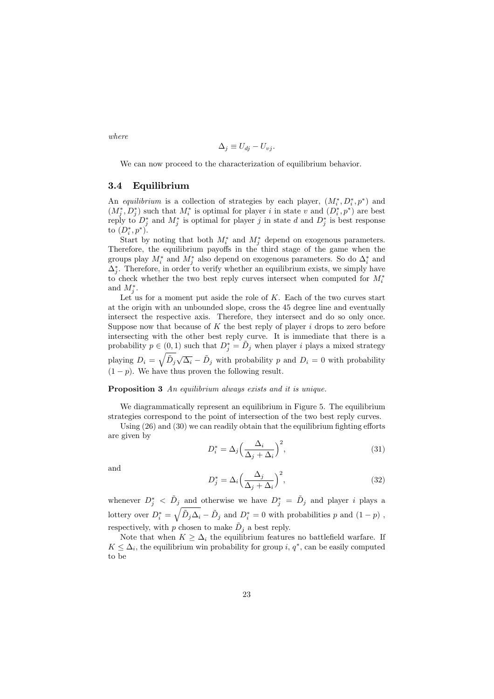$$
\Delta_j \equiv U_{dj} - U_{vj}
$$

We can now proceed to the characterization of equilibrium behavior.

#### $3.4\,$ Equilibrium

An equilibrium is a collection of strategies by each player,  $(M_i^*, D_i^*, p^*)$  and  $(M_i^*, D_i^*)$  such that  $M_i^*$  is optimal for player i in state v and  $(D_i^*, p^*)$  are best reply to  $D_j^*$  and  $M_j^*$  is optimal for player j in state d and  $D_j^*$  is best response to  $(D_i^*, p^*).$ 

Start by noting that both  $M_i^*$  and  $M_i^*$  depend on exogenous parameters. Therefore, the equilibrium payoffs in the third stage of the game when the groups play  $M_i^*$  and  $M_i^*$  also depend on exogenous parameters. So do  $\Delta_i^*$  and  $\Delta_i^*$ . Therefore, in order to verify whether an equilibrium exists, we simply have to check whether the two best reply curves intersect when computed for  $M_i^*$ and  $M_i^*$ .

Let us for a moment put aside the role of  $K$ . Each of the two curves start at the origin with an unbounded slope, cross the 45 degree line and eventually intersect the respective axis. Therefore, they intersect and do so only once. Suppose now that because of  $K$  the best reply of player  $i$  drops to zero before intersecting with the other best reply curve. It is immediate that there is a probability  $p \in (0,1)$  such that  $D_i^* = D_j$  when player *i* plays a mixed strategy playing  $D_i = \sqrt{\tilde{D}_j \sqrt{\Delta_i} - \tilde{D}_j}$  with probability p and  $D_i = 0$  with probability  $(1-p)$ . We have thus proven the following result.

## **Proposition 3** An equilibrium always exists and it is unique.

 $\overline{I}$ 

We diagrammatically represent an equilibrium in Figure 5. The equilibrium strategies correspond to the point of intersection of the two best reply curves.

Using  $(26)$  and  $(30)$  we can readily obtain that the equilibrium fighting efforts are given by

$$
D_i^* = \Delta_j \left(\frac{\Delta_i}{\Delta_j + \Delta_i}\right)^2,\tag{31}
$$

and

$$
D_j^* = \Delta_i \left(\frac{\Delta_j}{\Delta_j + \Delta_i}\right)^2,\tag{32}
$$

whenever  $D_j^* \langle \tilde{D}_j \rangle$  and otherwise we have  $D_j^* = \tilde{D}_j$  and player i plays a lottery over  $D_i^* = \sqrt{\tilde{D}_j \Delta_i - \tilde{D}_j}$  and  $D_i^* = 0$  with probabilities p and  $(1 - p)$ , respectively, with p chosen to make  $D_j$  a best reply.

Note that when  $K \geq \Delta_i$  the equilibrium features no battlefield warfare. If  $K \leq \Delta_i$ , the equilibrium win probability for group i,  $q^*$ , can be easily computed to be

 $where$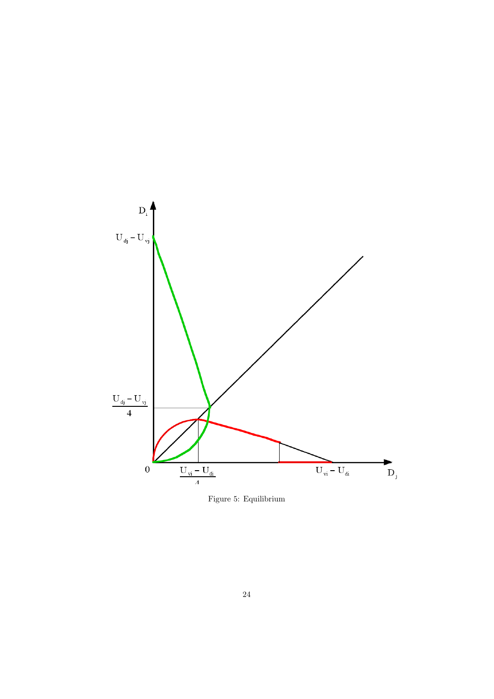

Figure 5: Equilibrium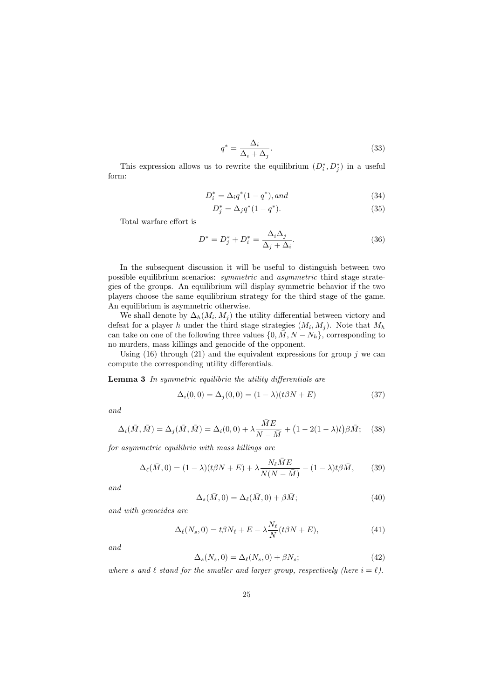$$
q^* = \frac{\Delta_i}{\Delta_i + \Delta_j}.\tag{33}
$$

This expression allows us to rewrite the equilibrium  $(D_i^*, D_j^*)$  in a useful form:

$$
D_i^* = \Delta_i q^*(1 - q^*), and \tag{34}
$$

$$
D_j^* = \Delta_j q^*(1 - q^*). \tag{35}
$$

Total warfare effort is

$$
D^* = D_j^* + D_i^* = \frac{\Delta_i \Delta_j}{\Delta_j + \Delta_i}.\tag{36}
$$

In the subsequent discussion it will be useful to distinguish between two possible equilibrium scenarios: *symmetric* and *asymmetric* third stage strategies of the groups. An equilibrium will display symmetric behavior if the two players choose the same equilibrium strategy for the third stage of the game. An equilibrium is asymmetric otherwise.

We shall denote by  $\Delta_h(M_i, M_j)$  the utility differential between victory and defeat for a player h under the third stage strategies  $(M_i, M_j)$ . Note that  $M_h$ can take on one of the following three values  $\{0, \overline{M}, N - N_h\}$ , corresponding to no murders, mass killings and genocide of the opponent.

Using (16) through (21) and the equivalent expressions for group  $j$  we can compute the corresponding utility differentials.

**Lemma 3** In symmetric equilibria the utility differentials are

$$
\Delta_i(0,0) = \Delta_j(0,0) = (1 - \lambda)(t\beta N + E) \tag{37}
$$

and

$$
\Delta_i(\bar{M}, \bar{M}) = \Delta_j(\bar{M}, \bar{M}) = \Delta_i(0, 0) + \lambda \frac{ME}{N - \bar{M}} + (1 - 2(1 - \lambda)t)\beta \bar{M}; \quad (38)
$$

for asymmetric equilibria with mass killings are

$$
\Delta_{\ell}(\bar{M},0) = (1-\lambda)(t\beta N + E) + \lambda \frac{N_{\ell}ME}{N(N-\bar{M})} - (1-\lambda)t\beta \bar{M},\qquad(39)
$$

and

$$
\Delta_s(\bar{M}, 0) = \Delta_\ell(\bar{M}, 0) + \beta \bar{M};\tag{40}
$$

and with genocides are

$$
\Delta_{\ell}(N_s, 0) = t\beta N_{\ell} + E - \lambda \frac{N_{\ell}}{N} (t\beta N + E), \qquad (41)
$$

and

$$
\Delta_s(N_s, 0) = \Delta_\ell(N_s, 0) + \beta N_s; \tag{42}
$$

where s and  $\ell$  stand for the smaller and larger group, respectively (here  $i = \ell$ ).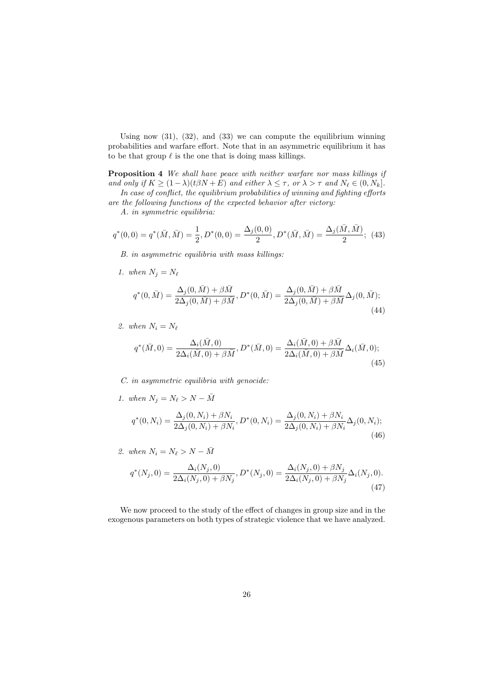Using now  $(31)$ ,  $(32)$ , and  $(33)$  we can compute the equilibrium winning probabilities and warfare effort. Note that in an asymmetric equilibrium it has to be that group  $\ell$  is the one that is doing mass killings.

**Proposition 4** We shall have peace with neither warfare nor mass killings if and only if  $K \ge (1 - \lambda)(t\beta N + E)$  and either  $\lambda \le \tau$ , or  $\lambda > \tau$  and  $N_{\ell} \in (0, N_k]$ .

In case of conflict, the equilibrium probabilities of winning and fighting efforts are the following functions of the expected behavior after victory:

A. in symmetric equilibria:

$$
q^*(0,0) = q^*(\bar{M}, \bar{M}) = \frac{1}{2}, D^*(0,0) = \frac{\Delta_j(0,0)}{2}, D^*(\bar{M}, \bar{M}) = \frac{\Delta_j(\bar{M}, \bar{M})}{2};
$$
(43)

B. in asymmetric equilibria with mass killings:

1. when  $N_i = N_\ell$ 

$$
q^*(0, \bar{M}) = \frac{\Delta_j(0, \bar{M}) + \beta \bar{M}}{2\Delta_j(0, \bar{M}) + \beta \bar{M}}, D^*(0, \bar{M}) = \frac{\Delta_j(0, \bar{M}) + \beta \bar{M}}{2\Delta_j(0, \bar{M}) + \beta \bar{M}} \Delta_j(0, \bar{M});
$$
\n(44)

2. when  $N_i = N_\ell$ 

$$
q^*(\bar{M},0) = \frac{\Delta_i(\bar{M},0)}{2\Delta_i(\bar{M},0) + \beta \bar{M}}, D^*(\bar{M},0) = \frac{\Delta_i(\bar{M},0) + \beta \bar{M}}{2\Delta_i(\bar{M},0) + \beta \bar{M}} \Delta_i(\bar{M},0);
$$
\n(45)

 $C.$  in asymmetric equilibria with genocide:

- 1. when  $N_j = N_\ell > N \bar{M}$  $q^*(0, N_i) = \frac{\Delta_j(0, N_i) + \beta N_i}{2\Delta_j(0, N_i) + \beta N_i}, D^*(0, N_i) = \frac{\Delta_j(0, N_i) + \beta N_i}{2\Delta_j(0, N_i) + \beta N_i}\Delta_j(0, N_i);$  $(46)$
- 2. when  $N_i = N_\ell > N \bar{M}$

$$
q^*(N_j, 0) = \frac{\Delta_i(N_j, 0)}{2\Delta_i(N_j, 0) + \beta N_j}, D^*(N_j, 0) = \frac{\Delta_i(N_j, 0) + \beta N_j}{2\Delta_i(N_j, 0) + \beta N_j}\Delta_i(N_j, 0).
$$
\n(47)

We now proceed to the study of the effect of changes in group size and in the exogenous parameters on both types of strategic violence that we have analyzed.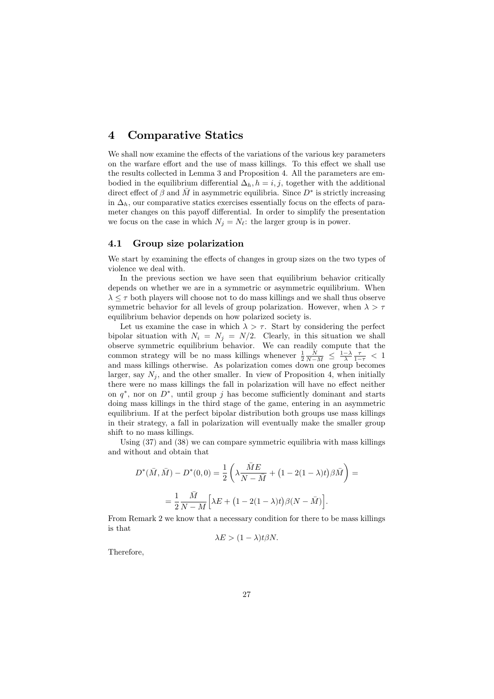#### **Comparative Statics**  $\boldsymbol{4}$

We shall now examine the effects of the variations of the various key parameters on the warfare effort and the use of mass killings. To this effect we shall use the results collected in Lemma 3 and Proposition 4. All the parameters are embodied in the equilibrium differential  $\Delta_h$ ,  $h = i, j$ , together with the additional direct effect of  $\beta$  and M in asymmetric equilibria. Since  $D^*$  is strictly increasing in  $\Delta_h$ , our comparative statics exercises essentially focus on the effects of parameter changes on this payoff differential. In order to simplify the presentation we focus on the case in which  $N_j = N_{\ell}$ : the larger group is in power.

#### Group size polarization  $4.1$

We start by examining the effects of changes in group sizes on the two types of violence we deal with.

In the previous section we have seen that equilibrium behavior critically depends on whether we are in a symmetric or asymmetric equilibrium. When  $\lambda \leq \tau$  both players will choose not to do mass killings and we shall thus observe symmetric behavior for all levels of group polarization. However, when  $\lambda > \tau$ equilibrium behavior depends on how polarized society is.

Let us examine the case in which  $\lambda > \tau$ . Start by considering the perfect bipolar situation with  $N_i = N_j = N/2$ . Clearly, in this situation we shall observe symmetric equilibrium behavior. We can readily compute that the common strategy will be no mass killings whenever  $\frac{1}{2} \frac{\tilde{N}}{N-M} \leq \frac{1-\lambda}{\lambda} \frac{\tau}{1-\tau} < 1$ and mass killings otherwise. As polarization comes down one group becomes larger, say  $N_i$ , and the other smaller. In view of Proposition 4, when initially there were no mass killings the fall in polarization will have no effect neither on  $q^*$ , nor on  $D^*$ , until group j has become sufficiently dominant and starts doing mass killings in the third stage of the game, entering in an asymmetric equilibrium. If at the perfect bipolar distribution both groups use mass killings in their strategy, a fall in polarization will eventually make the smaller group shift to no mass killings.

Using  $(37)$  and  $(38)$  we can compare symmetric equilibria with mass killings and without and obtain that

$$
D^*(\bar{M}, \bar{M}) - D^*(0, 0) = \frac{1}{2} \left( \lambda \frac{ME}{N - \bar{M}} + (1 - 2(1 - \lambda)t) \beta \bar{M} \right) =
$$
  
=  $\frac{1}{2} \frac{\bar{M}}{N - M} \left[ \lambda E + (1 - 2(1 - \lambda)t) \beta (N - \bar{M}) \right].$ 

From Remark 2 we know that a necessary condition for there to be mass killings is that

$$
\lambda E > (1 - \lambda)t\beta N.
$$

Therefore,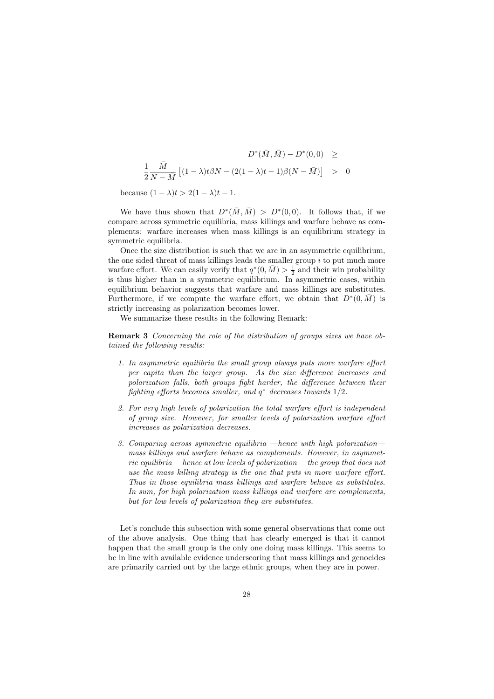$$
D^*(\bar{M}, \bar{M}) - D^*(0,0) \ge
$$
  

$$
\frac{1}{2} \frac{\bar{M}}{N - \bar{M}} [(1 - \lambda)t\beta N - (2(1 - \lambda)t - 1)\beta(N - \bar{M})] > 0
$$

because  $(1 - \lambda)t > 2(1 - \lambda)t - 1$ .

We have thus shown that  $D^*(\overline{M}, \overline{M}) > D^*(0,0)$ . It follows that, if we compare across symmetric equilibria, mass killings and warfare behave as complements: warfare increases when mass killings is an equilibrium strategy in symmetric equilibria.

Once the size distribution is such that we are in an asymmetric equilibrium, the one sided threat of mass killings leads the smaller group  $i$  to put much more warfare effort. We can easily verify that  $q^*(0, \bar{M}) > \frac{1}{2}$  and their win probability is thus higher than in a symmetric equilibrium. In asymmetric cases, within equilibrium behavior suggests that warfare and mass killings are substitutes. Furthermore, if we compute the warfare effort, we obtain that  $D^*(0, \overline{M})$  is strictly increasing as polarization becomes lower.

We summarize these results in the following Remark:

**Remark 3** Concerning the role of the distribution of groups sizes we have obtained the following results:

- 1. In asymmetric equilibria the small group always puts more warfare effort per capita than the larger group. As the size difference increases and polarization falls, both groups fight harder, the difference between their fighting efforts becomes smaller, and  $q^*$  decreases towards  $1/2$ .
- 2. For very high levels of polarization the total warfare effort is independent of group size. However, for smaller levels of polarization warfare effort increases as polarization decreases.
- 3. Comparing across symmetric equilibria —hence with high polarization mass killings and warfare behave as complements. However, in asymmetric equilibria —hence at low levels of polarization— the group that does not use the mass killing strategy is the one that puts in more warfare effort. Thus in those equilibria mass killings and warfare behave as substitutes. In sum, for high polarization mass killings and warfare are complements. but for low levels of polarization they are substitutes.

Let's conclude this subsection with some general observations that come out of the above analysis. One thing that has clearly emerged is that it cannot happen that the small group is the only one doing mass killings. This seems to be in line with available evidence underscoring that mass killings and genocides are primarily carried out by the large ethnic groups, when they are in power.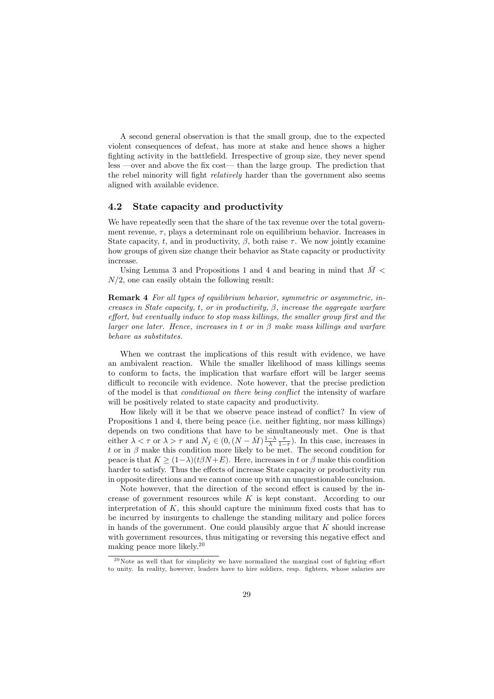A second general observation is that the small group, due to the expected violent consequences of defeat, has more at stake and hence shows a higher fighting activity in the battlefield. Irrespective of group size, they never spend  $\ell$  less —over and above the fix cost— than the large group. The prediction that the rebel minority will fight *relatively* harder than the government also seems aligned with available evidence.

#### 4.2 State capacity and productivity

We have repeatedly seen that the share of the tax revenue over the total government revenue,  $\tau$ , plays a determinant role on equilibrium behavior. Increases in State capacity, t, and in productivity,  $\beta$ , both raise  $\tau$ . We now jointly examine how groups of given size change their behavior as State capacity or productivity increase.

Using Lemma 3 and Propositions 1 and 4 and bearing in mind that  $\bar{M}$  <  $N/2$ , one can easily obtain the following result:

**Remark 4** For all types of equilibrium behavior, symmetric or asymmetric, increases in State capacity, t, or in productivity,  $\beta$ , increase the aggregate warfare effort, but eventually induce to stop mass killings, the smaller group first and the larger one later. Hence, increases in t or in  $\beta$  make mass killings and warfare behave as substitutes.

When we contrast the implications of this result with evidence, we have an ambivalent reaction. While the smaller likelihood of mass killings seems to conform to facts, the implication that warfare effort will be larger seems difficult to reconcile with evidence. Note however, that the precise prediction of the model is that *conditional on there being conflict* the intensity of warfare will be positively related to state capacity and productivity.

How likely will it be that we observe peace instead of conflict? In view of Propositions 1 and 4, there being peace (i.e. neither fighting, nor mass killings) depends on two conditions that have to be simultaneously met. One is that either  $\lambda < \tau$  or  $\lambda > \tau$  and  $N_j \in (0, (N - \bar{M})\frac{1-\lambda}{\lambda} \frac{\tau}{1-\tau})$ . In this case, increases in t or in  $\beta$  make this condition more likely to be met. The second condition for peace is that  $K \ge (1 - \lambda)(t\beta N + E)$ . Here, increases in t or  $\beta$  make this condition harder to satisfy. Thus the effects of increase State capacity or productivity run in opposite directions and we cannot come up with an unquestionable conclusion.

Note however, that the direction of the second effect is caused by the increase of government resources while  $K$  is kept constant. According to our interpretation of  $K$ , this should capture the minimum fixed costs that has to be incurred by insurgents to challenge the standing military and police forces in hands of the government. One could plausibly argue that  $K$  should increase with government resources, thus mitigating or reversing this negative effect and making peace more likely.<sup>20</sup>

 $^{20}$ Note as well that for simplicity we have normalized the marginal cost of fighting effort to unity. In reality, however, leaders have to hire soldiers, resp. fighters, whose salaries are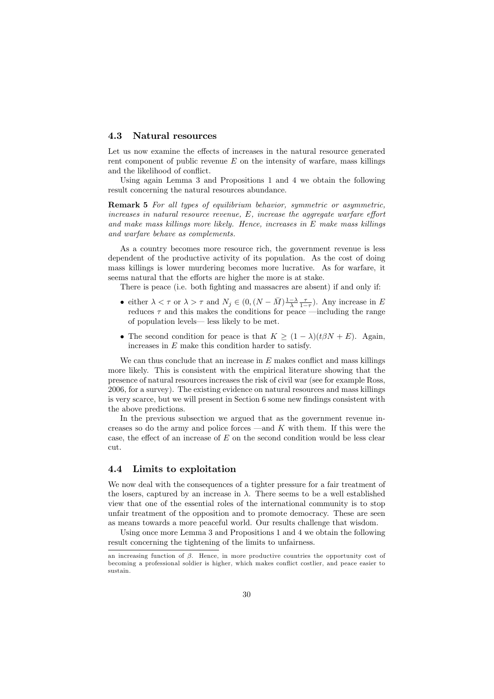#### 4.3 Natural resources

Let us now examine the effects of increases in the natural resource generated rent component of public revenue  $E$  on the intensity of warfare, mass killings and the likelihood of conflict.

Using again Lemma 3 and Propositions 1 and 4 we obtain the following result concerning the natural resources abundance.

**Remark 5** For all types of equilibrium behavior, symmetric or asymmetric,  $increases$  in natural resource revenue,  $E$ , increase the aggregate warfare effort and make mass killings more likely. Hence, increases in  $E$  make mass killings and warfare behave as complements.

As a country becomes more resource rich, the government revenue is less dependent of the productive activity of its population. As the cost of doing mass killings is lower murdering becomes more lucrative. As for warfare, it seems natural that the efforts are higher the more is at stake.

There is peace (i.e. both fighting and massacres are absent) if and only if:

- either  $\lambda < \tau$  or  $\lambda > \tau$  and  $N_j \in (0, (N \bar{M})\frac{1-\lambda}{\lambda} \frac{\tau}{1-\tau})$ . Any increase in E reduces  $\tau$  and this makes the conditions for peace —including the range of population levels— less likely to be met.
- The second condition for peace is that  $K \geq (1 \lambda)(t\beta N + E)$ . Again, increases in  $E$  make this condition harder to satisfy.

We can thus conclude that an increase in  $E$  makes conflict and mass killings more likely. This is consistent with the empirical literature showing that the presence of natural resources increases the risk of civil war (see for example Ross, 2006, for a survey). The existing evidence on natural resources and mass killings is very scarce, but we will present in Section 6 some new findings consistent with the above predictions.

In the previous subsection we argued that as the government revenue increases so do the army and police forces —and  $K$  with them. If this were the case, the effect of an increase of  $E$  on the second condition would be less clear cut.

#### $4.4$ Limits to exploitation

We now deal with the consequences of a tighter pressure for a fair treatment of the losers, captured by an increase in  $\lambda$ . There seems to be a well established view that one of the essential roles of the international community is to stop unfair treatment of the opposition and to promote democracy. These are seen as means towards a more peaceful world. Our results challenge that wisdom.

Using once more Lemma 3 and Propositions 1 and 4 we obtain the following result concerning the tightening of the limits to unfairness.

an increasing function of  $\beta$ . Hence, in more productive countries the opportunity cost of becoming a professional soldier is higher, which makes conflict costlier, and peace easier to sustain.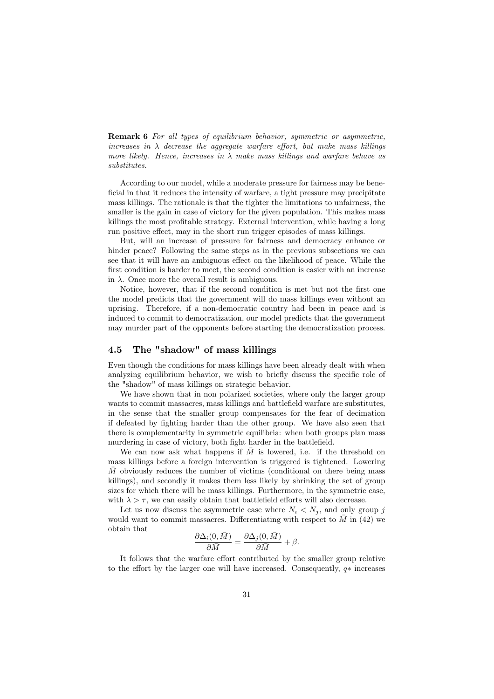**Remark 6** For all types of equilibrium behavior, symmetric or asymmetric, increases in  $\lambda$  decrease the aggregate warfare effort, but make mass killings more likely. Hence, increases in  $\lambda$  make mass killings and warfare behave as substitutes.

According to our model, while a moderate pressure for fairness may be beneficial in that it reduces the intensity of warfare, a tight pressure may precipitate mass killings. The rationale is that the tighter the limitations to unfairness, the smaller is the gain in case of victory for the given population. This makes mass killings the most profitable strategy. External intervention, while having a long run positive effect, may in the short run trigger episodes of mass killings.

But, will an increase of pressure for fairness and democracy enhance or hinder peace? Following the same steps as in the previous subsections we can see that it will have an ambiguous effect on the likelihood of peace. While the first condition is harder to meet, the second condition is easier with an increase in  $\lambda$ . Once more the overall result is ambiguous.

Notice, however, that if the second condition is met but not the first one the model predicts that the government will do mass killings even without an uprising. Therefore, if a non-democratic country had been in peace and is induced to commit to democratization, our model predicts that the government may murder part of the opponents before starting the democratization process.

#### The "shadow" of mass killings  $4.5$

Even though the conditions for mass killings have been already dealt with when analyzing equilibrium behavior, we wish to briefly discuss the specific role of the "shadow" of mass killings on strategic behavior.

We have shown that in non polarized societies, where only the larger group wants to commit massacres, mass killings and battlefield warfare are substitutes, in the sense that the smaller group compensates for the fear of decimation if defeated by fighting harder than the other group. We have also seen that there is complementarity in symmetric equilibria: when both groups plan mass murdering in case of victory, both fight harder in the battlefield.

We can now ask what happens if  $\overline{M}$  is lowered, i.e. if the threshold on mass killings before a foreign intervention is triggered is tightened. Lowering  $\overline{M}$  obviously reduces the number of victims (conditional on there being mass killings), and secondly it makes them less likely by shrinking the set of group sizes for which there will be mass killings. Furthermore, in the symmetric case, with  $\lambda > \tau$ , we can easily obtain that battlefield efforts will also decrease.

Let us now discuss the asymmetric case where  $N_i \nvert N_j$ , and only group j would want to commit massacres. Differentiating with respect to  $\overline{M}$  in (42) we obtain that

$$
\frac{\partial \Delta_i(0, \bar{M})}{\partial \bar{M}} = \frac{\partial \Delta_j(0, \bar{M})}{\partial \bar{M}} + \beta.
$$

It follows that the warfare effort contributed by the smaller group relative to the effort by the larger one will have increased. Consequently,  $a*$  increases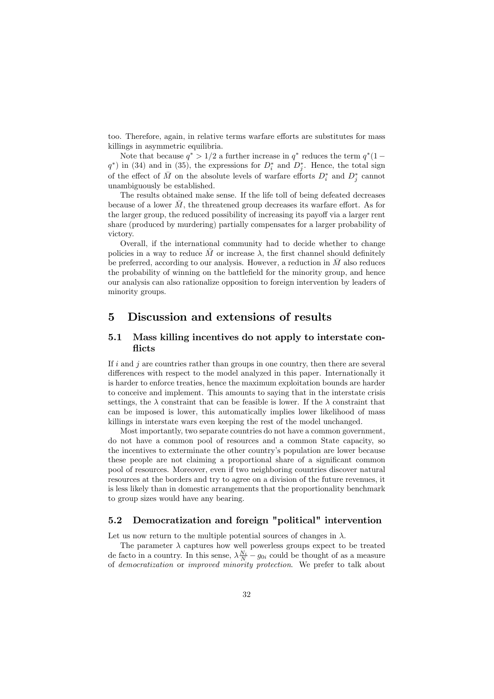too. Therefore, again, in relative terms warfare efforts are substitutes for mass killings in asymmetric equilibria.

Note that because  $q^* > 1/2$  a further increase in  $q^*$  reduces the term  $q^*(1$  $q^*$ ) in (34) and in (35), the expressions for  $D_i^*$  and  $D_j^*$ . Hence, the total sign of the effect of  $\overline{M}$  on the absolute levels of warfare efforts  $D_i^*$  and  $D_j^*$  cannot unambiguously be established.

The results obtained make sense. If the life toll of being defeated decreases because of a lower  $\overline{M}$ , the threatened group decreases its warfare effort. As for the larger group, the reduced possibility of increasing its payoff via a larger rent share (produced by murdering) partially compensates for a larger probability of victory

Overall, if the international community had to decide whether to change policies in a way to reduce  $\overline{M}$  or increase  $\lambda$ , the first channel should definitely be preferred, according to our analysis. However, a reduction in  $\overline{M}$  also reduces the probability of winning on the battlefield for the minority group, and hence our analysis can also rationalize opposition to foreign intervention by leaders of minority groups.

#### $\overline{5}$ Discussion and extensions of results

#### $5.1$ Mass killing incentives do not apply to interstate conflicts

If i and i are countries rather than groups in one country, then there are several differences with respect to the model analyzed in this paper. Internationally it is harder to enforce treaties, hence the maximum exploitation bounds are harder to conceive and implement. This amounts to saying that in the interstate crisis settings, the  $\lambda$  constraint that can be feasible is lower. If the  $\lambda$  constraint that can be imposed is lower, this automatically implies lower likelihood of mass killings in interstate wars even keeping the rest of the model unchanged.

Most importantly, two separate countries do not have a common government. do not have a common pool of resources and a common State capacity, so the incentives to exterminate the other country's population are lower because these people are not claiming a proportional share of a significant common pool of resources. Moreover, even if two neighboring countries discover natural resources at the borders and try to agree on a division of the future revenues, it is less likely than in domestic arrangements that the proportionality benchmark to group sizes would have any bearing.

#### Democratization and foreign "political" intervention  $5.2$

Let us now return to the multiple potential sources of changes in  $\lambda$ .

The parameter  $\lambda$  captures how well powerless groups expect to be treated de facto in a country. In this sense,  $\lambda \frac{N_i}{N} - g_{0i}$  could be thought of as a measure of *democratization* or *improved minority protection*. We prefer to talk about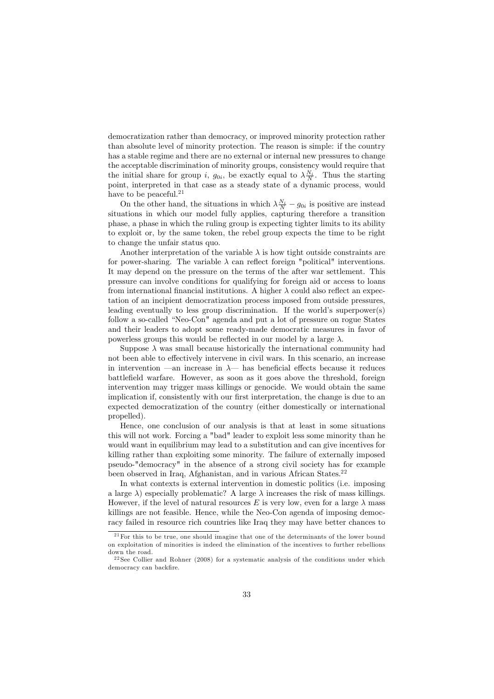democratization rather than democracy, or improved minority protection rather than absolute level of minority protection. The reason is simple: if the country has a stable regime and there are no external or internal new pressures to change the acceptable discrimination of minority groups, consistency would require that the initial share for group i,  $g_{0i}$ , be exactly equal to  $\lambda \frac{N_i}{N}$ . Thus the starting point, interpreted in that case as a steady state of a dynamic process, would have to be peaceful.<sup>21</sup>

On the other hand, the situations in which  $\lambda \frac{N_i}{N} - g_{0i}$  is positive are instead situations in which our model fully applies, capturing therefore a transition phase, a phase in which the ruling group is expecting tighter limits to its ability to exploit or, by the same token, the rebel group expects the time to be right to change the unfair status quo.

Another interpretation of the variable  $\lambda$  is how tight outside constraints are for power-sharing. The variable  $\lambda$  can reflect foreign "political" interventions. It may depend on the pressure on the terms of the after war settlement. This pressure can involve conditions for qualifying for foreign aid or access to loans from international financial institutions. A higher  $\lambda$  could also reflect an expectation of an incipient democratization process imposed from outside pressures, leading eventually to less group discrimination. If the world's superpower(s) follow a so-called "Neo-Con" agenda and put a lot of pressure on rogue States and their leaders to adopt some ready-made democratic measures in favor of powerless groups this would be reflected in our model by a large  $\lambda$ .

Suppose  $\lambda$  was small because historically the international community had not been able to effectively intervene in civil wars. In this scenario, an increase in intervention —an increase in  $\lambda$ — has beneficial effects because it reduces battlefield warfare. However, as soon as it goes above the threshold, foreign intervention may trigger mass killings or genocide. We would obtain the same implication if, consistently with our first interpretation, the change is due to an expected democratization of the country (either domestically or international propelled).

Hence, one conclusion of our analysis is that at least in some situations this will not work. Forcing a "bad" leader to exploit less some minority than he would want in equilibrium may lead to a substitution and can give incentives for killing rather than exploiting some minority. The failure of externally imposed pseudo-"democracy" in the absence of a strong civil society has for example been observed in Iraq, Afghanistan, and in various African States.<sup>22</sup>

In what contexts is external intervention in domestic politics (i.e. imposing a large  $\lambda$ ) especially problematic? A large  $\lambda$  increases the risk of mass killings. However, if the level of natural resources E is very low, even for a large  $\lambda$  mass killings are not feasible. Hence, while the Neo-Con agenda of imposing democracy failed in resource rich countries like Iraq they may have better chances to

 $21$  For this to be true, one should imagine that one of the determinants of the lower bound on exploitation of minorities is indeed the elimination of the incentives to further rebellions down the road.

 $22$ See Collier and Rohner (2008) for a systematic analysis of the conditions under which democracy can backfire.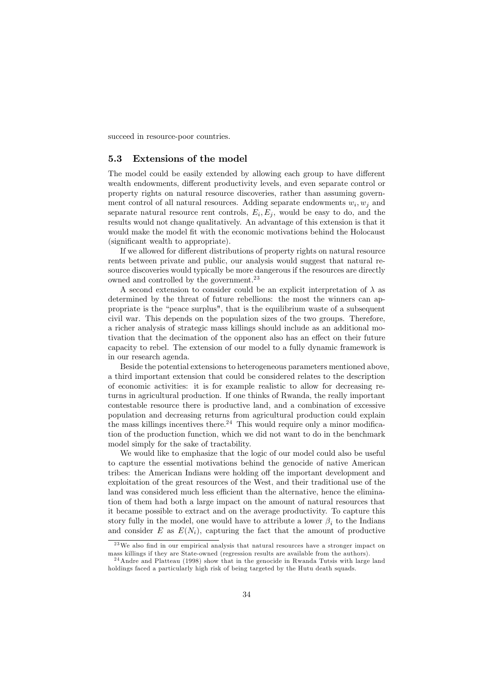succeed in resource-poor countries.

#### $5.3$ Extensions of the model

The model could be easily extended by allowing each group to have different wealth endowments, different productivity levels, and even separate control or property rights on natural resource discoveries, rather than assuming government control of all natural resources. Adding separate endowments  $w_i, w_j$  and separate natural resource rent controls,  $E_i, E_j$ , would be easy to do, and the results would not change qualitatively. An advantage of this extension is that it would make the model fit with the economic motivations behind the Holocaust (significant wealth to appropriate).

If we allowed for different distributions of property rights on natural resource rents between private and public, our analysis would suggest that natural resource discoveries would typically be more dangerous if the resources are directly owned and controlled by the government.<sup>23</sup>

A second extension to consider could be an explicit interpretation of  $\lambda$  as determined by the threat of future rebellions: the most the winners can appropriate is the "peace surplus", that is the equilibrium waste of a subsequent civil war. This depends on the population sizes of the two groups. Therefore, a richer analysis of strategic mass killings should include as an additional motivation that the decimation of the opponent also has an effect on their future capacity to rebel. The extension of our model to a fully dynamic framework is in our research agenda.

Beside the potential extensions to heterogeneous parameters mentioned above, a third important extension that could be considered relates to the description of economic activities: it is for example realistic to allow for decreasing returns in agricultural production. If one thinks of Rwanda, the really important contestable resource there is productive land, and a combination of excessive population and decreasing returns from agricultural production could explain the mass killings incentives there.<sup>24</sup> This would require only a minor modification of the production function, which we did not want to do in the benchmark model simply for the sake of tractability.

We would like to emphasize that the logic of our model could also be useful to capture the essential motivations behind the genocide of native American tribes: the American Indians were holding off the important development and exploitation of the great resources of the West, and their traditional use of the land was considered much less efficient than the alternative, hence the elimination of them had both a large impact on the amount of natural resources that it became possible to extract and on the average productivity. To capture this story fully in the model, one would have to attribute a lower  $\beta_i$  to the Indians and consider E as  $E(N_i)$ , capturing the fact that the amount of productive

 $23$  We also find in our empirical analysis that natural resources have a stronger impact on mass killings if they are State-owned (regression results are available from the authors).

 $24$  Andre and Platteau (1998) show that in the genocide in Rwanda Tutsis with large land holdings faced a particularly high risk of being targeted by the Hutu death squads.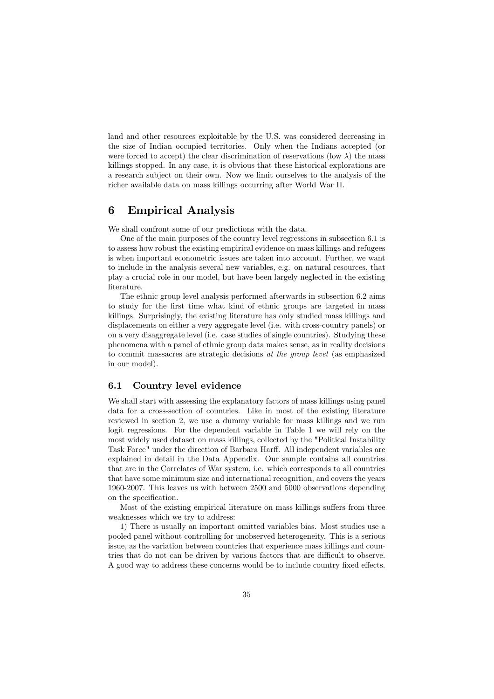land and other resources exploitable by the U.S. was considered decreasing in the size of Indian occupied territories. Only when the Indians accepted (or were forced to accept) the clear discrimination of reservations (low  $\lambda$ ) the mass killings stopped. In any case, it is obvious that these historical explorations are a research subject on their own. Now we limit ourselves to the analysis of the richer available data on mass killings occurring after World War II.

#### 6 **Empirical Analysis**

We shall confront some of our predictions with the data.

One of the main purposes of the country level regressions in subsection 6.1 is to assess how robust the existing empirical evidence on mass killings and refugees is when important econometric issues are taken into account. Further, we want to include in the analysis several new variables, e.g. on natural resources, that play a crucial role in our model, but have been largely neglected in the existing literature.

The ethnic group level analysis performed afterwards in subsection 6.2 aims to study for the first time what kind of ethnic groups are targeted in mass killings. Surprisingly, the existing literature has only studied mass killings and displacements on either a very aggregate level (i.e. with cross-country panels) or on a very disaggregate level (i.e. case studies of single countries). Studying these phenomena with a panel of ethnic group data makes sense, as in reality decisions to commit massacres are strategic decisions at the group level (as emphasized in our model).

#### Country level evidence  $6.1$

We shall start with assessing the explanatory factors of mass killings using panel data for a cross-section of countries. Like in most of the existing literature reviewed in section 2, we use a dummy variable for mass killings and we run logit regressions. For the dependent variable in Table 1 we will rely on the most widely used dataset on mass killings, collected by the "Political Instability Task Force" under the direction of Barbara Harff. All independent variables are explained in detail in the Data Appendix. Our sample contains all countries that are in the Correlates of War system, i.e. which corresponds to all countries that have some minimum size and international recognition, and covers the years 1960-2007. This leaves us with between 2500 and 5000 observations depending on the specification.

Most of the existing empirical literature on mass killings suffers from three weaknesses which we try to address:

1) There is usually an important omitted variables bias. Most studies use a pooled panel without controlling for unobserved heterogeneity. This is a serious issue, as the variation between countries that experience mass killings and countries that do not can be driven by various factors that are difficult to observe. A good way to address these concerns would be to include country fixed effects.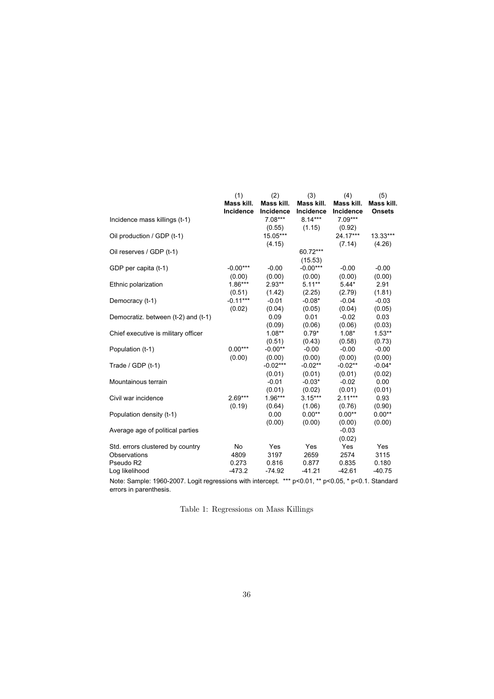|                                                                                                          | (1)              | (2)        | (3)        | (4)        | (5)           |
|----------------------------------------------------------------------------------------------------------|------------------|------------|------------|------------|---------------|
|                                                                                                          | Mass kill.       | Mass kill. | Mass kill. | Mass kill. | Mass kill.    |
|                                                                                                          | <b>Incidence</b> | Incidence  | Incidence  | Incidence  | <b>Onsets</b> |
| Incidence mass killings (t-1)                                                                            |                  | $7.08***$  | $8.14***$  | $7.09***$  |               |
|                                                                                                          |                  | (0.55)     | (1.15)     | (0.92)     |               |
| Oil production / GDP (t-1)                                                                               |                  | 15.05***   |            | 24.17***   | 13.33***      |
|                                                                                                          |                  | (4.15)     |            | (7.14)     | (4.26)        |
| Oil reserves / GDP (t-1)                                                                                 |                  |            | 60.72***   |            |               |
|                                                                                                          |                  |            | (15.53)    |            |               |
| GDP per capita (t-1)                                                                                     | $-0.00***$       | $-0.00$    | $-0.00***$ | $-0.00$    | $-0.00$       |
|                                                                                                          | (0.00)           | (0.00)     | (0.00)     | (0.00)     | (0.00)        |
| Ethnic polarization                                                                                      | $1.86***$        | $2.93**$   | $5.11***$  | $5.44*$    | 2.91          |
|                                                                                                          | (0.51)           | (1.42)     | (2.25)     | (2.79)     | (1.81)        |
| Democracy (t-1)                                                                                          | $-0.11***$       | $-0.01$    | $-0.08*$   | $-0.04$    | $-0.03$       |
|                                                                                                          | (0.02)           | (0.04)     | (0.05)     | (0.04)     | (0.05)        |
| Democratiz. between (t-2) and (t-1)                                                                      |                  | 0.09       | 0.01       | $-0.02$    | 0.03          |
|                                                                                                          |                  | (0.09)     | (0.06)     | (0.06)     | (0.03)        |
| Chief executive is military officer                                                                      |                  | $1.08**$   | $0.79*$    | $1.08*$    | $1.53**$      |
|                                                                                                          |                  | (0.51)     | (0.43)     | (0.58)     | (0.73)        |
| Population (t-1)                                                                                         | $0.00***$        | $-0.00**$  | $-0.00$    | $-0.00$    | $-0.00$       |
|                                                                                                          | (0.00)           | (0.00)     | (0.00)     | (0.00)     | (0.00)        |
| Trade / GDP (t-1)                                                                                        |                  | $-0.02***$ | $-0.02**$  | $-0.02**$  | $-0.04*$      |
|                                                                                                          |                  | (0.01)     | (0.01)     | (0.01)     | (0.02)        |
| Mountainous terrain                                                                                      |                  | $-0.01$    | $-0.03*$   | $-0.02$    | 0.00          |
|                                                                                                          |                  | (0.01)     | (0.02)     | (0.01)     | (0.01)        |
| Civil war incidence                                                                                      | $2.69***$        | $1.96***$  | $3.15***$  | $2.11***$  | 0.93          |
|                                                                                                          | (0.19)           | (0.64)     | (1.06)     | (0.76)     | (0.90)        |
| Population density (t-1)                                                                                 |                  | 0.00       | $0.00**$   | $0.00**$   | $0.00**$      |
|                                                                                                          |                  | (0.00)     | (0.00)     | (0.00)     | (0.00)        |
| Average age of political parties                                                                         |                  |            |            | $-0.03$    |               |
|                                                                                                          |                  |            |            | (0.02)     |               |
| Std. errors clustered by country                                                                         | No               | Yes        | Yes        | Yes        | Yes           |
| Observations                                                                                             | 4809             | 3197       | 2659       | 2574       | 3115          |
| Pseudo R2                                                                                                | 0.273            | 0.816      | 0.877      | 0.835      | 0.180         |
| Log likelihood                                                                                           | $-473.2$         | $-74.92$   | $-41.21$   | $-42.61$   | $-40.75$      |
| Note: Cample: 1060, 2007. Logit regressions with intersect. $***$ p<0.04 $**$ p<0.05 $*$ p<0.4. Standard |                  |            |            |            |               |

Note: Sample: 1960-2007. Logit regressions with intercept. \*\*\* p<0.01, \*\* p<0.05, \* p<0.1. Standard errors in parenthesis.

Table 1: Regressions on Mass Killings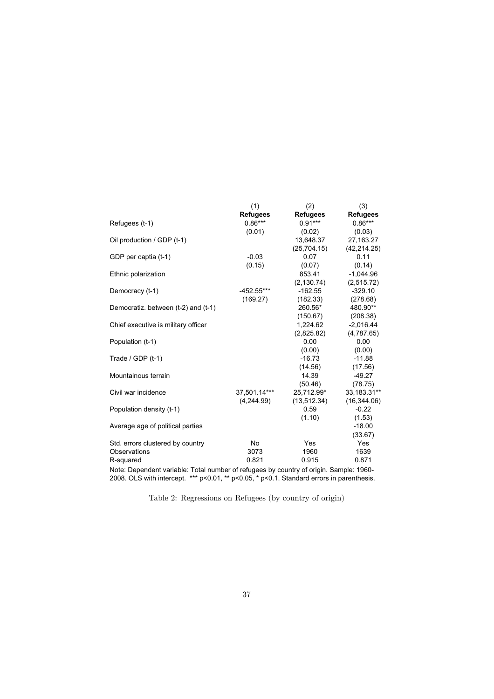|                                     | (1)             | (2)             | (3)             |
|-------------------------------------|-----------------|-----------------|-----------------|
|                                     | <b>Refugees</b> | <b>Refugees</b> | <b>Refugees</b> |
| Refugees (t-1)                      | $0.86***$       | $0.91***$       | $0.86***$       |
|                                     | (0.01)          | (0.02)          | (0.03)          |
| Oil production / GDP (t-1)          |                 | 13,648.37       | 27, 163. 27     |
|                                     |                 | (25, 704.15)    | (42, 214.25)    |
| GDP per captia (t-1)                | $-0.03$         | 0.07            | 0.11            |
|                                     | (0.15)          | (0.07)          | (0.14)          |
| Ethnic polarization                 |                 | 853.41          | $-1,044.96$     |
|                                     |                 | (2, 130.74)     | (2,515.72)      |
| Democracy (t-1)                     | -452.55***      | $-162.55$       | $-329.10$       |
|                                     | (169.27)        | (182.33)        | (278.68)        |
| Democratiz. between (t-2) and (t-1) |                 | 260.56*         | 480.90**        |
|                                     |                 | (150.67)        | (208.38)        |
| Chief executive is military officer |                 | 1,224.62        | $-2,016.44$     |
|                                     |                 | (2,825.82)      | (4,787.65)      |
| Population (t-1)                    |                 | 0.00            | 0.00            |
|                                     |                 | (0.00)          | (0.00)          |
| Trade / GDP (t-1)                   |                 | $-16.73$        | $-11.88$        |
|                                     |                 | (14.56)         | (17.56)         |
| Mountainous terrain                 |                 | 14.39           | $-49.27$        |
|                                     |                 | (50.46)         | (78.75)         |
| Civil war incidence                 | 37.501.14***    | 25,712.99*      | 33,183.31**     |
|                                     | (4,244.99)      | (13,512.34)     | (16, 344.06)    |
| Population density (t-1)            |                 | 0.59            | $-0.22$         |
|                                     |                 | (1.10)          | (1.53)          |
| Average age of political parties    |                 |                 | $-18.00$        |
|                                     |                 |                 | (33.67)         |
| Std. errors clustered by country    | No              | Yes             | Yes             |
| Observations                        | 3073            | 1960            | 1639            |
| R-squared                           | 0.821           | 0.915           | 0.871           |
| .                                   |                 |                 |                 |

Note: Dependent variable: Total number of refugees by country of origin. Sample: 1960- 2008. OLS with intercept. \*\*\* p<0.01, \*\* p<0.05, \* p<0.1. Standard errors in parenthesis.

Table 2: Regressions on Refugees (by country of origin)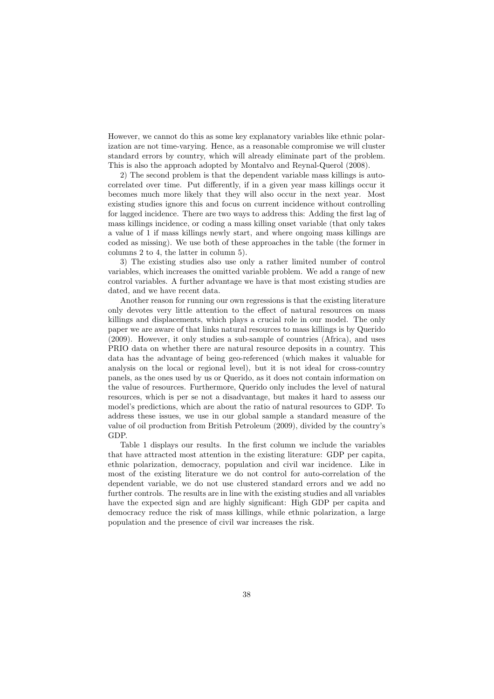However, we cannot do this as some key explanatory variables like ethnic polarization are not time-varying. Hence, as a reasonable compromise we will cluster standard errors by country, which will already eliminate part of the problem. This is also the approach adopted by Montalvo and Reynal-Querol (2008).

2) The second problem is that the dependent variable mass killings is autocorrelated over time. Put differently, if in a given year mass killings occur it becomes much more likely that they will also occur in the next year. Most existing studies ignore this and focus on current incidence without controlling for lagged incidence. There are two ways to address this: Adding the first lag of mass killings incidence, or coding a mass killing onset variable (that only takes a value of 1 if mass killings newly start, and where ongoing mass killings are coded as missing). We use both of these approaches in the table (the former in columns 2 to 4, the latter in column 5).

3) The existing studies also use only a rather limited number of control variables, which increases the omitted variable problem. We add a range of new control variables. A further advantage we have is that most existing studies are dated, and we have recent data.

Another reason for running our own regressions is that the existing literature only devotes very little attention to the effect of natural resources on mass killings and displacements, which plays a crucial role in our model. The only paper we are aware of that links natural resources to mass killings is by Querido (2009). However, it only studies a sub-sample of countries (Africa), and uses PRIO data on whether there are natural resource deposits in a country. This data has the advantage of being geo-referenced (which makes it valuable for analysis on the local or regional level), but it is not ideal for cross-country panels, as the ones used by us or Querido, as it does not contain information on the value of resources. Furthermore, Querido only includes the level of natural resources, which is per se not a disadvantage, but makes it hard to assess our model's predictions, which are about the ratio of natural resources to GDP. To address these issues, we use in our global sample a standard measure of the value of oil production from British Petroleum (2009), divided by the country's GDP.

Table 1 displays our results. In the first column we include the variables that have attracted most attention in the existing literature: GDP per capita. ethnic polarization, democracy, population and civil war incidence. Like in most of the existing literature we do not control for auto-correlation of the dependent variable, we do not use clustered standard errors and we add no further controls. The results are in line with the existing studies and all variables have the expected sign and are highly significant: High GDP per capita and democracy reduce the risk of mass killings, while ethnic polarization, a large population and the presence of civil war increases the risk.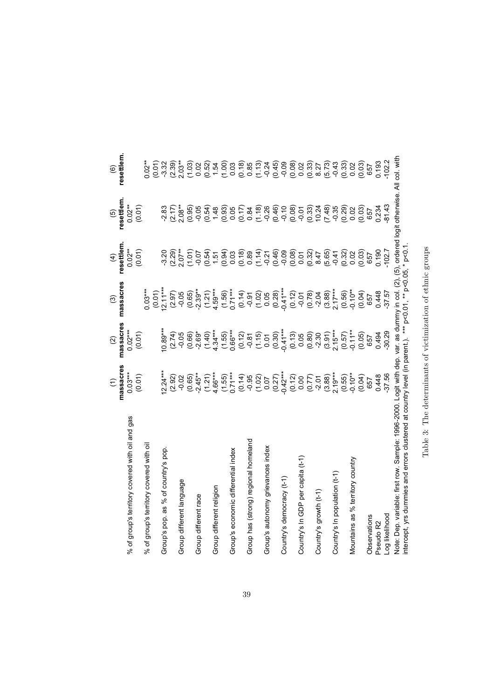|                                                                                                                                                                                                                                              | massacres<br>$\widehat{E}$                                                                                                                                                                                                                                                                                                         | massacres<br>$\widehat{a}$                                                                                                                                                                                                                                                                          | massacres<br>ම                                                           | resettlem<br>$\widehat{f}$                               | resettlem<br>$\overline{5}$      | resettlem<br>$\widehat{\mathbf{e}}$                                                                                                                                                                                                                                                                                                                                                                                                                                                        |
|----------------------------------------------------------------------------------------------------------------------------------------------------------------------------------------------------------------------------------------------|------------------------------------------------------------------------------------------------------------------------------------------------------------------------------------------------------------------------------------------------------------------------------------------------------------------------------------|-----------------------------------------------------------------------------------------------------------------------------------------------------------------------------------------------------------------------------------------------------------------------------------------------------|--------------------------------------------------------------------------|----------------------------------------------------------|----------------------------------|--------------------------------------------------------------------------------------------------------------------------------------------------------------------------------------------------------------------------------------------------------------------------------------------------------------------------------------------------------------------------------------------------------------------------------------------------------------------------------------------|
| of group's territory covered with oil and gas<br>್ಧ                                                                                                                                                                                          | $0.03***$<br>(0.01)                                                                                                                                                                                                                                                                                                                | $0.02***$<br>(0.01)                                                                                                                                                                                                                                                                                 |                                                                          | $0.02**$<br>(0.01)                                       | $0.02**$<br>(0.01)               |                                                                                                                                                                                                                                                                                                                                                                                                                                                                                            |
| of group's territory covered with oil<br>್ಧ                                                                                                                                                                                                  |                                                                                                                                                                                                                                                                                                                                    |                                                                                                                                                                                                                                                                                                     | $0.03***$                                                                |                                                          |                                  | $0.02**$<br>(0.01)                                                                                                                                                                                                                                                                                                                                                                                                                                                                         |
| Group's pop. as % of country's pop                                                                                                                                                                                                           | $12.24***$                                                                                                                                                                                                                                                                                                                         | $0.89***$                                                                                                                                                                                                                                                                                           | $(0.01)$<br>$(2.11***$                                                   |                                                          |                                  |                                                                                                                                                                                                                                                                                                                                                                                                                                                                                            |
|                                                                                                                                                                                                                                              | (2.92)                                                                                                                                                                                                                                                                                                                             | (2.74)                                                                                                                                                                                                                                                                                              | (2.97)                                                                   |                                                          | $-2.83$<br>$(2.17)$<br>$2.08***$ |                                                                                                                                                                                                                                                                                                                                                                                                                                                                                            |
| Group different language                                                                                                                                                                                                                     |                                                                                                                                                                                                                                                                                                                                    |                                                                                                                                                                                                                                                                                                     | $-0.05$                                                                  |                                                          |                                  |                                                                                                                                                                                                                                                                                                                                                                                                                                                                                            |
|                                                                                                                                                                                                                                              |                                                                                                                                                                                                                                                                                                                                    |                                                                                                                                                                                                                                                                                                     |                                                                          |                                                          |                                  |                                                                                                                                                                                                                                                                                                                                                                                                                                                                                            |
| Group different race                                                                                                                                                                                                                         |                                                                                                                                                                                                                                                                                                                                    |                                                                                                                                                                                                                                                                                                     |                                                                          |                                                          |                                  |                                                                                                                                                                                                                                                                                                                                                                                                                                                                                            |
|                                                                                                                                                                                                                                              |                                                                                                                                                                                                                                                                                                                                    |                                                                                                                                                                                                                                                                                                     |                                                                          |                                                          |                                  |                                                                                                                                                                                                                                                                                                                                                                                                                                                                                            |
| Group different religion                                                                                                                                                                                                                     |                                                                                                                                                                                                                                                                                                                                    |                                                                                                                                                                                                                                                                                                     |                                                                          |                                                          |                                  |                                                                                                                                                                                                                                                                                                                                                                                                                                                                                            |
| Group's economic differential index                                                                                                                                                                                                          |                                                                                                                                                                                                                                                                                                                                    | $\begin{array}{l} 0.05 \\ 0.666 \\ 0.667 \\ 0.747 \\ 0.674 \\ 0.674 \\ 0.674 \\ 0.674 \\ 0.674 \\ 0.674 \\ 0.674 \\ 0.674 \\ 0.674 \\ 0.674 \\ 0.674 \\ 0.674 \\ 0.674 \\ 0.674 \\ 0.674 \\ 0.674 \\ 0.674 \\ 0.674 \\ 0.674 \\ 0.674 \\ 0.674 \\ 0.674 \\ 0.674 \\ 0.674 \\ 0.674 \\ 0.674 \\ 0.6$ |                                                                          |                                                          |                                  | $\begin{array}{l} \gamma \; \text{\tiny{C}} \; \gamma \; \text{\tiny{C}} \; \gamma \; \text{\tiny{C}} \; \text{\tiny{C}} \; \text{\tiny{C}} \; \text{\tiny{C}} \; \text{\tiny{D}} \; \text{\tiny{C}} \; \text{\tiny{D}} \; \text{\tiny{D}} \; \text{\tiny{D}} \; \text{\tiny{D}} \; \text{\tiny{D}} \; \text{\tiny{D}} \; \text{\tiny{D}} \; \text{\tiny{D}} \; \text{\tiny{D}} \; \text{\tiny{D}} \; \text{\tiny{D}} \; \text{\tiny{D}} \; \text{\tiny{D}} \; \text{\tiny{D}} \; \text{\$ |
|                                                                                                                                                                                                                                              |                                                                                                                                                                                                                                                                                                                                    |                                                                                                                                                                                                                                                                                                     |                                                                          |                                                          |                                  |                                                                                                                                                                                                                                                                                                                                                                                                                                                                                            |
| Group has (strong) regional homeland                                                                                                                                                                                                         |                                                                                                                                                                                                                                                                                                                                    |                                                                                                                                                                                                                                                                                                     |                                                                          |                                                          |                                  |                                                                                                                                                                                                                                                                                                                                                                                                                                                                                            |
|                                                                                                                                                                                                                                              |                                                                                                                                                                                                                                                                                                                                    |                                                                                                                                                                                                                                                                                                     |                                                                          |                                                          |                                  |                                                                                                                                                                                                                                                                                                                                                                                                                                                                                            |
| Group's autonomy grievances index                                                                                                                                                                                                            |                                                                                                                                                                                                                                                                                                                                    |                                                                                                                                                                                                                                                                                                     |                                                                          |                                                          |                                  |                                                                                                                                                                                                                                                                                                                                                                                                                                                                                            |
|                                                                                                                                                                                                                                              |                                                                                                                                                                                                                                                                                                                                    |                                                                                                                                                                                                                                                                                                     |                                                                          |                                                          |                                  |                                                                                                                                                                                                                                                                                                                                                                                                                                                                                            |
| Country's democracy (t-1)                                                                                                                                                                                                                    |                                                                                                                                                                                                                                                                                                                                    |                                                                                                                                                                                                                                                                                                     |                                                                          |                                                          |                                  |                                                                                                                                                                                                                                                                                                                                                                                                                                                                                            |
|                                                                                                                                                                                                                                              | $\begin{array}{c} (0.12) \\ (0.07) \\ (0.77) \\ (3.88) \\ (3.95) \\ (0.55) \\ (0.59) \\ (0.59) \\ (0.59) \\ (0.59) \\ (0.50) \\ (0.50) \\ (0.50) \\ (0.50) \\ (0.50) \\ (0.50) \\ (0.50) \\ (0.50) \\ (0.50) \\ (0.50) \\ (0.50) \\ (0.50) \\ (0.50) \\ (0.50) \\ (0.50) \\ (0.50) \\ (0.50) \\ (0.50) \\ (0.50) \\ (0.50) \\ (0.$ | $(0.13)$<br>$0.05$<br>$(0.80)$<br>$(2.30)$<br>$(3.91)$<br>$(3.91)$<br>$2.15***$                                                                                                                                                                                                                     |                                                                          |                                                          |                                  |                                                                                                                                                                                                                                                                                                                                                                                                                                                                                            |
| Country's In GDP per capita (t-1)                                                                                                                                                                                                            |                                                                                                                                                                                                                                                                                                                                    |                                                                                                                                                                                                                                                                                                     |                                                                          |                                                          |                                  |                                                                                                                                                                                                                                                                                                                                                                                                                                                                                            |
|                                                                                                                                                                                                                                              |                                                                                                                                                                                                                                                                                                                                    |                                                                                                                                                                                                                                                                                                     |                                                                          |                                                          |                                  |                                                                                                                                                                                                                                                                                                                                                                                                                                                                                            |
| Country's growth (t-1)                                                                                                                                                                                                                       |                                                                                                                                                                                                                                                                                                                                    |                                                                                                                                                                                                                                                                                                     |                                                                          |                                                          |                                  |                                                                                                                                                                                                                                                                                                                                                                                                                                                                                            |
|                                                                                                                                                                                                                                              |                                                                                                                                                                                                                                                                                                                                    |                                                                                                                                                                                                                                                                                                     |                                                                          | (5.65)                                                   |                                  |                                                                                                                                                                                                                                                                                                                                                                                                                                                                                            |
| Country's In population (t-1)                                                                                                                                                                                                                |                                                                                                                                                                                                                                                                                                                                    |                                                                                                                                                                                                                                                                                                     |                                                                          |                                                          |                                  |                                                                                                                                                                                                                                                                                                                                                                                                                                                                                            |
|                                                                                                                                                                                                                                              |                                                                                                                                                                                                                                                                                                                                    | $(0.57)$<br>$-0.11**$                                                                                                                                                                                                                                                                               |                                                                          |                                                          |                                  | $(5.73)$<br>$-0.33$<br>$-0.33$<br>$0.03$<br>$(0.03)$                                                                                                                                                                                                                                                                                                                                                                                                                                       |
| Mountains as % territory country                                                                                                                                                                                                             |                                                                                                                                                                                                                                                                                                                                    |                                                                                                                                                                                                                                                                                                     |                                                                          |                                                          |                                  |                                                                                                                                                                                                                                                                                                                                                                                                                                                                                            |
|                                                                                                                                                                                                                                              | (0.04)                                                                                                                                                                                                                                                                                                                             | (0.05)                                                                                                                                                                                                                                                                                              | $(0.56)$<br>$0.10**$<br>$(0.04)$<br>$657$<br>$657$<br>$0.448$<br>$0.448$ | $(9.32)$<br>$(9.32)$<br>$(9.32)$<br>$(9.32)$<br>$(9.32)$ |                                  |                                                                                                                                                                                                                                                                                                                                                                                                                                                                                            |
| Observations                                                                                                                                                                                                                                 | 657                                                                                                                                                                                                                                                                                                                                | 657                                                                                                                                                                                                                                                                                                 |                                                                          |                                                          |                                  | 657                                                                                                                                                                                                                                                                                                                                                                                                                                                                                        |
| Pseudo R2                                                                                                                                                                                                                                    | 0.448                                                                                                                                                                                                                                                                                                                              | 0.494<br>30.29                                                                                                                                                                                                                                                                                      |                                                                          | 0.190                                                    |                                  | 0.193                                                                                                                                                                                                                                                                                                                                                                                                                                                                                      |
| Log likelihood                                                                                                                                                                                                                               |                                                                                                                                                                                                                                                                                                                                    |                                                                                                                                                                                                                                                                                                     |                                                                          |                                                          |                                  |                                                                                                                                                                                                                                                                                                                                                                                                                                                                                            |
| Note: Dep. variable: first row. Sample: 1996-2000. Logit with dep. var. as dummy in col. (2), (5), ordered logit otherwise. All col. with<br>intercept, yrs dummies and errors clustered at country level (in parent.). *** p<0.01, ** p<0.1 |                                                                                                                                                                                                                                                                                                                                    |                                                                                                                                                                                                                                                                                                     |                                                                          |                                                          |                                  |                                                                                                                                                                                                                                                                                                                                                                                                                                                                                            |

Table 3: The determinants of victimization of ethnic groups Table 3: The determinants of victimization of ethnic groups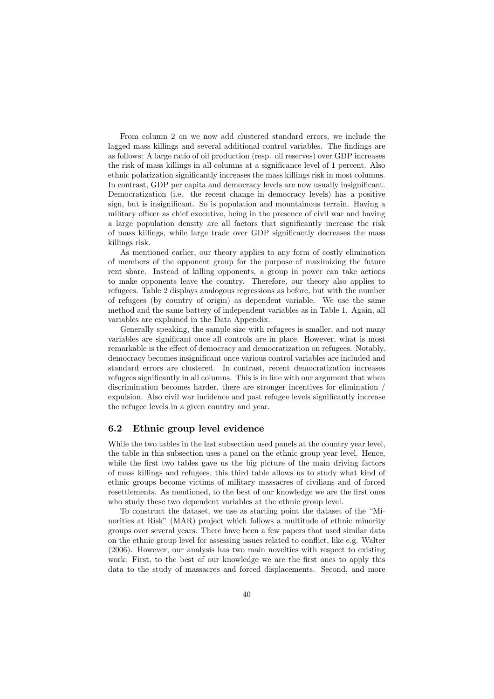From column 2 on we now add clustered standard errors, we include the lagged mass killings and several additional control variables. The findings are as follows: A large ratio of oil production (resp. oil reserves) over GDP increases the risk of mass killings in all columns at a significance level of 1 percent. Also ethnic polarization significantly increases the mass killings risk in most columns. In contrast, GDP per capita and democracy levels are now usually insignificant. Democratization (i.e. the recent change in democracy levels) has a positive sign, but is insignificant. So is population and mountainous terrain. Having a military officer as chief executive, being in the presence of civil war and having a large population density are all factors that significantly increase the risk of mass killings, while large trade over GDP significantly decreases the mass killings risk.

As mentioned earlier, our theory applies to any form of costly elimination of members of the opponent group for the purpose of maximizing the future rent share. Instead of killing opponents, a group in power can take actions to make opponents leave the country. Therefore, our theory also applies to refugees. Table 2 displays analogous regressions as before, but with the number of refugees (by country of origin) as dependent variable. We use the same method and the same battery of independent variables as in Table 1. Again, all variables are explained in the Data Appendix.

Generally speaking, the sample size with refugees is smaller, and not many variables are significant once all controls are in place. However, what is most remarkable is the effect of democracy and democratization on refugees. Notably, democracy becomes insignificant once various control variables are included and standard errors are clustered. In contrast, recent democratization increases refugees significantly in all columns. This is in line with our argument that when discrimination becomes harder, there are stronger incentives for elimination expulsion. Also civil war incidence and past refugee levels significantly increase the refugee levels in a given country and year.

#### $6.2$ Ethnic group level evidence

While the two tables in the last subsection used panels at the country year level, the table in this subsection uses a panel on the ethnic group year level. Hence, while the first two tables gave us the big picture of the main driving factors of mass killings and refugees, this third table allows us to study what kind of ethnic groups become victims of military mass acres of civilians and of forced resettlements. As mentioned, to the best of our knowledge we are the first ones who study these two dependent variables at the ethnic group level.

To construct the dataset, we use as starting point the dataset of the "Minorities at Risk" (MAR) project which follows a multitude of ethnic minority groups over several years. There have been a few papers that used similar data on the ethnic group level for assessing issues related to conflict, like e.g. Walter (2006). However, our analysis has two main novelties with respect to existing work: First, to the best of our knowledge we are the first ones to apply this data to the study of massacres and forced displacements. Second, and more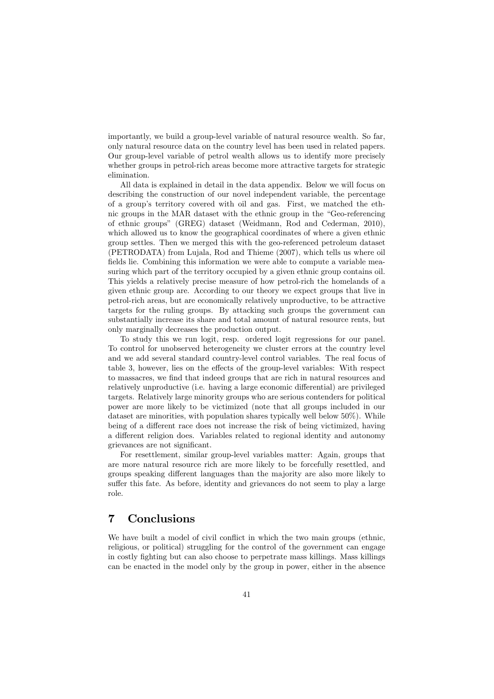importantly, we build a group-level variable of natural resource wealth. So far, only natural resource data on the country level has been used in related papers. Our group-level variable of petrol wealth allows us to identify more precisely whether groups in petrol-rich areas become more attractive targets for strategic elimination.

All data is explained in detail in the data appendix. Below we will focus on describing the construction of our novel independent variable, the percentage of a group's territory covered with oil and gas. First, we matched the ethnic groups in the MAR dataset with the ethnic group in the "Geo-referencing of ethnic groups" (GREG) dataset (Weidmann, Rod and Cederman, 2010). which allowed us to know the geographical coordinates of where a given ethnic group settles. Then we merged this with the geo-referenced petroleum dataset (PETRODATA) from Lujala, Rod and Thieme (2007), which tells us where oil fields lie. Combining this information we were able to compute a variable measuring which part of the territory occupied by a given ethnic group contains oil. This yields a relatively precise measure of how petrol-rich the homelands of a given ethnic group are. According to our theory we expect groups that live in petrol-rich areas, but are economically relatively unproductive, to be attractive targets for the ruling groups. By attacking such groups the government can substantially increase its share and total amount of natural resource rents, but only marginally decreases the production output.

To study this we run logit, resp. ordered logit regressions for our panel. To control for unobserved heterogeneity we cluster errors at the country level and we add several standard country-level control variables. The real focus of table 3, however, lies on the effects of the group-level variables: With respect to mass acres, we find that indeed groups that are rich in natural resources and relatively unproductive (i.e. having a large economic differential) are privileged targets. Relatively large minority groups who are serious contenders for political power are more likely to be victimized (note that all groups included in our dataset are minorities, with population shares typically well below  $50\%$ ). While being of a different race does not increase the risk of being victimized, having a different religion does. Variables related to regional identity and autonomy grievances are not significant.

For resettlement, similar group-level variables matter: Again, groups that are more natural resource rich are more likely to be forcefully resettled, and groups speaking different languages than the majority are also more likely to suffer this fate. As before, identity and grievances do not seem to play a large role.

#### $\overline{7}$ Conclusions

We have built a model of civil conflict in which the two main groups (ethnic, religious, or political) struggling for the control of the government can engage in costly fighting but can also choose to perpetrate mass killings. Mass killings can be enacted in the model only by the group in power, either in the absence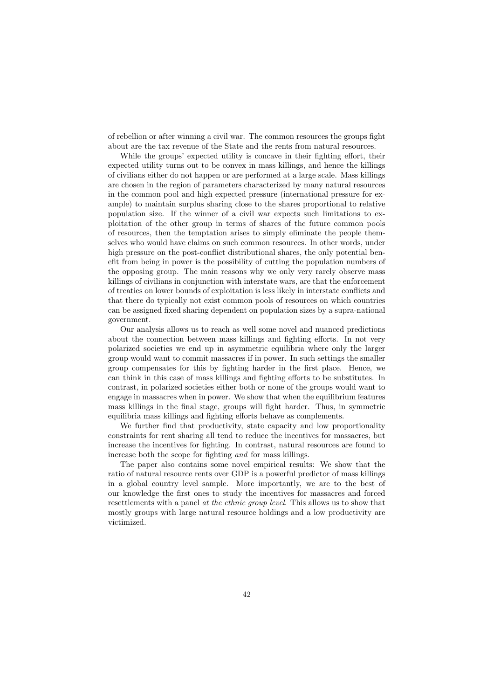of rebellion or after winning a civil war. The common resources the groups fight about are the tax revenue of the State and the rents from natural resources.

While the groups' expected utility is concave in their fighting effort, their expected utility turns out to be convex in mass killings, and hence the killings of civilians either do not happen or are performed at a large scale. Mass killings are chosen in the region of parameters characterized by many natural resources in the common pool and high expected pressure (international pressure for example) to maintain surplus sharing close to the shares proportional to relative population size. If the winner of a civil war expects such limitations to exploitation of the other group in terms of shares of the future common pools of resources, then the temptation arises to simply eliminate the people themselves who would have claims on such common resources. In other words, under high pressure on the post-conflict distributional shares, the only potential benefit from being in power is the possibility of cutting the population numbers of the opposing group. The main reasons why we only very rarely observe mass killings of civilians in conjunction with interstate wars, are that the enforcement of treaties on lower bounds of exploitation is less likely in interstate conflicts and that there do typically not exist common pools of resources on which countries can be assigned fixed sharing dependent on population sizes by a supra-national government.

Our analysis allows us to reach as well some novel and nuanced predictions about the connection between mass killings and fighting efforts. In not very polarized societies we end up in asymmetric equilibria where only the larger group would want to commit massacres if in power. In such settings the smaller group compensates for this by fighting harder in the first place. Hence, we can think in this case of mass killings and fighting efforts to be substitutes. In contrast, in polarized societies either both or none of the groups would want to engage in massacres when in power. We show that when the equilibrium features mass killings in the final stage, groups will fight harder. Thus, in symmetric equilibria mass killings and fighting efforts behave as complements.

We further find that productivity, state capacity and low proportionality constraints for rent sharing all tend to reduce the incentives for massacres, but increase the incentives for fighting. In contrast, natural resources are found to increase both the scope for fighting and for mass killings.

The paper also contains some novel empirical results: We show that the ratio of natural resource rents over GDP is a powerful predictor of mass killings in a global country level sample. More importantly, we are to the best of our knowledge the first ones to study the incentives for massacres and forced resettlements with a panel at the ethnic group level. This allows us to show that mostly groups with large natural resource holdings and a low productivity are victimized.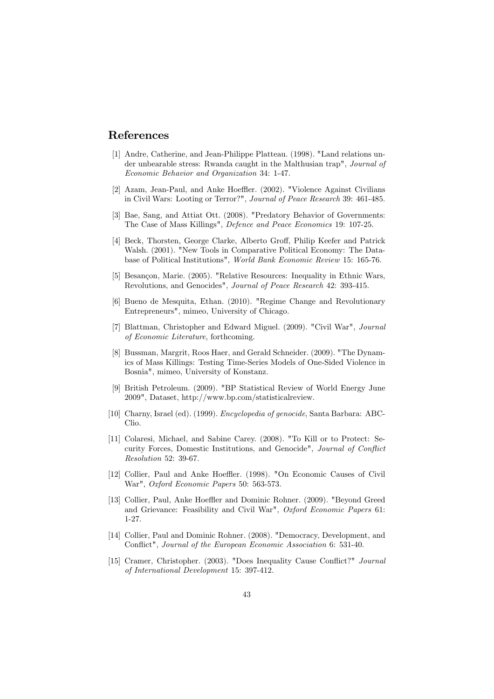# References

- [1] Andre, Catherine, and Jean-Philippe Platteau. (1998). "Land relations under unbearable stress: Rwanda caught in the Malthusian trap", Journal of Economic Behavior and Organization 34: 1-47.
- [2] Azam, Jean-Paul, and Anke Hoeffler. (2002). "Violence Against Civilians in Civil Wars: Looting or Terror?", Journal of Peace Research 39: 461-485.
- [3] Bae, Sang, and Attiat Ott. (2008). "Predatory Behavior of Governments: The Case of Mass Killings", Defence and Peace Economics 19: 107-25.
- [4] Beck, Thorsten, George Clarke, Alberto Groff, Philip Keefer and Patrick Walsh. (2001). "New Tools in Comparative Political Economy: The Database of Political Institutions", World Bank Economic Review 15: 165-76.
- [5] Besançon, Marie. (2005). "Relative Resources: Inequality in Ethnic Wars, Revolutions, and Genocides", Journal of Peace Research 42: 393-415.
- [6] Bueno de Mesquita, Ethan. (2010). "Regime Change and Revolutionary Entrepreneurs", mimeo, University of Chicago.
- [7] Blattman, Christopher and Edward Miguel. (2009). "Civil War", Journal of Economic Literature, forthcoming.
- [8] Bussman, Margrit, Roos Haer, and Gerald Schneider. (2009). "The Dynamics of Mass Killings: Testing Time-Series Models of One-Sided Violence in Bosnia", mimeo, University of Konstanz.
- [9] British Petroleum. (2009). "BP Statistical Review of World Energy June 2009", Dataset, http://www.bp.com/statisticalreview.
- [10] Charny, Israel (ed). (1999). *Encyclopedia of genocide*, Santa Barbara: ABC-Clio.
- [11] Colaresi, Michael, and Sabine Carey. (2008). "To Kill or to Protect: Security Forces, Domestic Institutions, and Genocide", Journal of Conflict Resolution 52: 39-67.
- [12] Collier, Paul and Anke Hoeffler. (1998). "On Economic Causes of Civil War", Oxford Economic Papers 50: 563-573.
- [13] Collier, Paul, Anke Hoeffler and Dominic Rohner. (2009). "Beyond Greed and Grievance: Feasibility and Civil War", Oxford Economic Papers 61:  $1-27.$
- [14] Collier, Paul and Dominic Rohner. (2008). "Democracy, Development, and Conflict", Journal of the European Economic Association 6: 531-40.
- [15] Cramer, Christopher. (2003). "Does Inequality Cause Conflict?" Journal of International Development 15: 397-412.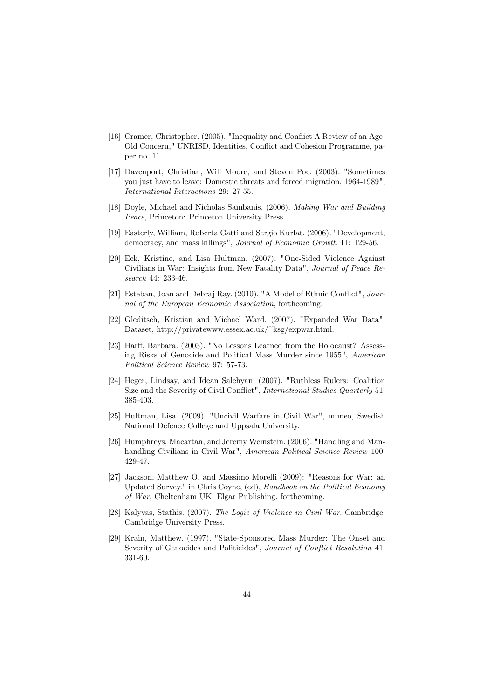- [16] Cramer, Christopher. (2005). "Inequality and Conflict A Review of an Age-Old Concern," UNRISD, Identities, Conflict and Cohesion Programme, paper no. 11.
- [17] Davenport, Christian, Will Moore, and Steven Poe. (2003). "Sometimes you just have to leave: Domestic threats and forced migration, 1964-1989". International Interactions 29: 27-55.
- [18] Doyle, Michael and Nicholas Sambanis. (2006). Making War and Building Peace, Princeton: Princeton University Press.
- [19] Easterly, William, Roberta Gatti and Sergio Kurlat. (2006). "Development. democracy, and mass killings", *Journal of Economic Growth* 11: 129-56.
- [20] Eck, Kristine, and Lisa Hultman. (2007). "One-Sided Violence Against Civilians in War: Insights from New Fatality Data", Journal of Peace Research 44: 233-46.
- [21] Esteban, Joan and Debraj Ray. (2010). "A Model of Ethnic Conflict", Journal of the European Economic Association, forthcoming.
- [22] Gleditsch, Kristian and Michael Ward. (2007). "Expanded War Data", Dataset, http://privatewww.essex.ac.uk/~ksg/expwar.html.
- [23] Harff, Barbara. (2003). "No Lessons Learned from the Holocaust? Assessing Risks of Genocide and Political Mass Murder since 1955", American Political Science Review 97: 57-73.
- [24] Heger, Lindsay, and Idean Salehyan. (2007). "Ruthless Rulers: Coalition Size and the Severity of Civil Conflict", International Studies Quarterly 51: 385-403.
- [25] Hultman, Lisa. (2009). "Uncivil Warfare in Civil War", mimeo, Swedish National Defence College and Uppsala University.
- [26] Humphreys, Macartan, and Jeremy Weinstein. (2006). "Handling and Manhandling Civilians in Civil War", American Political Science Review 100: 429-47.
- [27] Jackson, Matthew O. and Massimo Morelli (2009): "Reasons for War: an Updated Survey." in Chris Covne, (ed), Handbook on the Political Economy of War, Cheltenham UK: Elgar Publishing, forthcoming.
- [28] Kalyvas, Stathis. (2007). The Logic of Violence in Civil War. Cambridge: Cambridge University Press.
- [29] Krain, Matthew. (1997). "State-Sponsored Mass Murder: The Onset and Severity of Genocides and Politicides", Journal of Conflict Resolution 41: 331-60.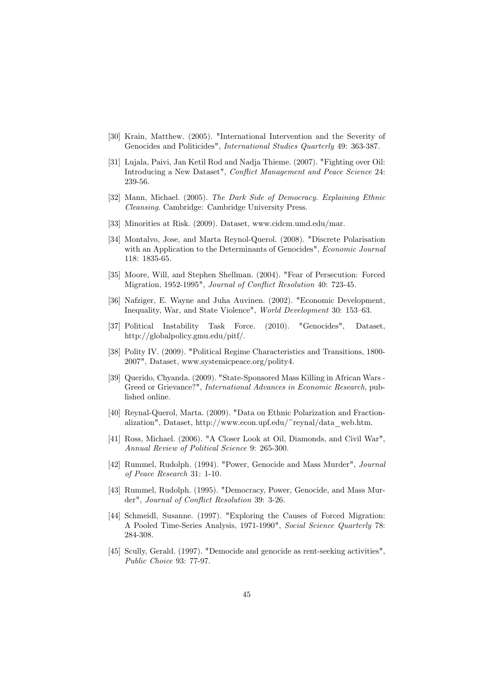- [30] Krain, Matthew. (2005). "International Intervention and the Severity of Genocides and Politicides", *International Studies Quarterly* 49: 363-387.
- [31] Lujala, Paivi, Jan Ketil Rod and Nadja Thieme. (2007). "Fighting over Oil: Introducing a New Dataset", Conflict Management and Peace Science 24: 239-56.
- [32] Mann, Michael. (2005). The Dark Side of Democracy. Explaining Ethnic *Cleansing.* Cambridge: Cambridge University Press.
- [33] Minorities at Risk. (2009). Dataset, www.cidcm.umd.edu/mar.
- [34] Montalvo, Jose, and Marta Reynol-Querol. (2008). "Discrete Polarisation with an Application to the Determinants of Genocides", Economic Journal 118: 1835-65.
- [35] Moore, Will, and Stephen Shellman. (2004). "Fear of Persecution: Forced Migration, 1952-1995", Journal of Conflict Resolution 40: 723-45.
- [36] Nafziger, E. Wayne and Juha Auvinen. (2002). "Economic Development, Inequality, War, and State Violence", World Development 30: 153-63.
- [37] Political Instability Task Force.  $(2010)$ . "Genocides". Dataset. http://globalpolicy.gmu.edu/pitf/.
- [38] Polity IV. (2009). "Political Regime Characteristics and Transitions, 1800-2007", Dataset, www.systemicpeace.org/polity4.
- [39] Querido, Chyanda. (2009). "State-Sponsored Mass Killing in African Wars -Greed or Grievance?", International Advances in Economic Research, published online.
- [40] Reynal-Querol, Marta. (2009). "Data on Ethnic Polarization and Fractionalization", Dataset, http://www.econ.upf.edu/~reynal/data\_web.htm.
- [41] Ross, Michael. (2006). "A Closer Look at Oil, Diamonds, and Civil War", Annual Review of Political Science 9: 265-300.
- [42] Rummel, Rudolph. (1994). "Power, Genocide and Mass Murder", Journal of Peace Research 31: 1-10.
- [43] Rummel, Rudolph. (1995). "Democracy, Power, Genocide, and Mass Murder", Journal of Conflict Resolution 39: 3-26.
- [44] Schmeidl, Susanne. (1997). "Exploring the Causes of Forced Migration: A Pooled Time-Series Analysis, 1971-1990", Social Science Quarterly 78: 284-308.
- [45] Scully, Gerald. (1997). "Democide and genocide as rent-seeking activities", Public Choice 93: 77-97.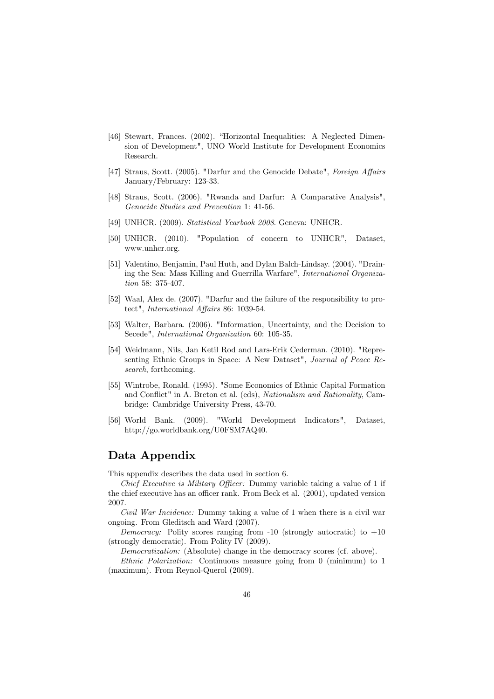- [46] Stewart, Frances. (2002). "Horizontal Inequalities: A Neglected Dimension of Development", UNO World Institute for Development Economics Research.
- [47] Straus, Scott. (2005). "Darfur and the Genocide Debate", Foreign Affairs January/February: 123-33.
- [48] Straus, Scott. (2006). "Rwanda and Darfur: A Comparative Analysis", Genocide Studies and Prevention 1: 41-56.
- [49] UNHCR. (2009). Statistical Yearbook 2008. Geneva: UNHCR.
- [50] UNHCR. (2010). "Population of concern to UNHCR", Dataset, www.unhcr.org.
- [51] Valentino, Benjamin, Paul Huth, and Dylan Balch-Lindsay. (2004). "Draining the Sea: Mass Killing and Guerrilla Warfare", International Organization 58: 375-407.
- [52] Waal, Alex de. (2007). "Darfur and the failure of the responsibility to protect", International Affairs 86: 1039-54.
- [53] Walter, Barbara. (2006). "Information, Uncertainty, and the Decision to Secede", International Organization 60: 105-35.
- [54] Weidmann, Nils, Jan Ketil Rod and Lars-Erik Cederman. (2010). "Representing Ethnic Groups in Space: A New Dataset", Journal of Peace Research, forthcoming.
- [55] Wintrobe, Ronald. (1995). "Some Economics of Ethnic Capital Formation and Conflict" in A. Breton et al. (eds), Nationalism and Rationality, Cambridge: Cambridge University Press, 43-70.
- [56] World Bank. (2009). "World Development Indicators", Dataset. http://go.worldbank.org/U0FSM7AQ40.

# Data Appendix

This appendix describes the data used in section 6.

*Chief Executive is Military Officer:* Dummy variable taking a value of 1 if the chief executive has an officer rank. From Beck et al. (2001), updated version 2007.

*Civil War Incidence:* Dummy taking a value of 1 when there is a civil war ongoing. From Gleditsch and Ward (2007).

*Democracy:* Polity scores ranging from -10 (strongly autocratic) to  $+10$ (strongly democratic). From Polity IV (2009).

*Democratization:* (Absolute) change in the democracy scores (cf. above).

*Ethnic Polarization:* Continuous measure going from 0 (minimum) to 1 (maximum). From Reynol-Querol (2009).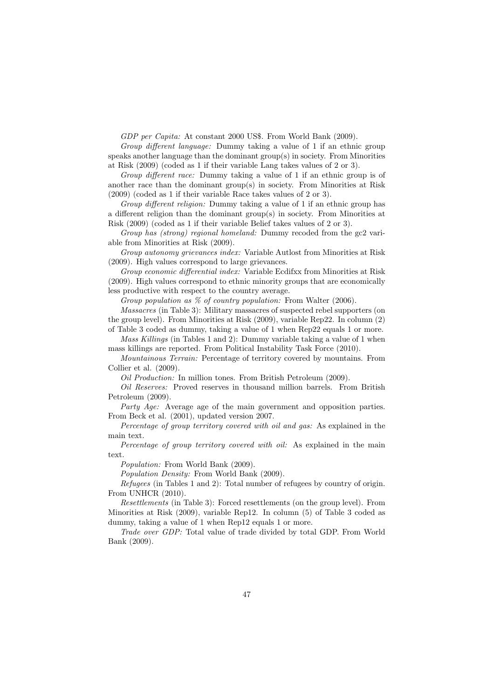GDP per Capita: At constant 2000 US\$. From World Bank (2009).

Group different language: Dummy taking a value of 1 if an ethnic group speaks another language than the dominant  $group(s)$  in society. From Minorities at Risk  $(2009)$  (coded as 1 if their variable Lang takes values of 2 or 3).

Group different race: Dummy taking a value of 1 if an ethnic group is of another race than the dominant group(s) in society. From Minorities at Risk  $(2009)$  (coded as 1 if their variable Race takes values of 2 or 3).

Group different religion: Dummy taking a value of 1 if an ethnic group has a different religion than the dominant group(s) in society. From Minorities at Risk (2009) (coded as 1 if their variable Belief takes values of 2 or 3).

Group has (strong) regional homeland: Dummy recoded from the gc2 variable from Minorities at Risk (2009).

Group autonomy grievances index: Variable Autlost from Minorities at Risk (2009). High values correspond to large grievances.

Group economic differential index: Variable Ecdifix from Minorities at Risk (2009). High values correspond to ethnic minority groups that are economically less productive with respect to the country average.

Group population as  $\%$  of country population: From Walter (2006).

*Massacres* (in Table 3): Military massacres of suspected rebel supporters (on the group level). From Minorities at Risk  $(2009)$ , variable Rep22. In column  $(2)$ of Table 3 coded as dummy, taking a value of 1 when Rep22 equals 1 or more.

Mass Killings (in Tables 1 and 2): Dummy variable taking a value of 1 when mass killings are reported. From Political Instability Task Force (2010).

Mountainous Terrain: Percentage of territory covered by mountains. From Collier et al.  $(2009)$ .

*Oil Production:* In million tones. From British Petroleum (2009).

*Oil Reserves:* Proved reserves in thousand million barrels. From British Petroleum (2009).

*Party Age:* Average age of the main government and opposition parties. From Beck et al. (2001), updated version 2007.

Percentage of group territory covered with oil and gas: As explained in the main text.

Percentage of group territory covered with oil: As explained in the main text.

Population: From World Bank (2009).

*Population Density:* From World Bank (2009).

*Refugees* (in Tables 1 and 2): Total number of refugees by country of origin. From UNHCR (2010).

*Resettlements* (in Table 3): Forced resettlements (on the group level). From Minorities at Risk  $(2009)$ , variable Rep12. In column  $(5)$  of Table 3 coded as dummy, taking a value of 1 when Rep12 equals 1 or more.

Trade over GDP: Total value of trade divided by total GDP. From World Bank (2009).